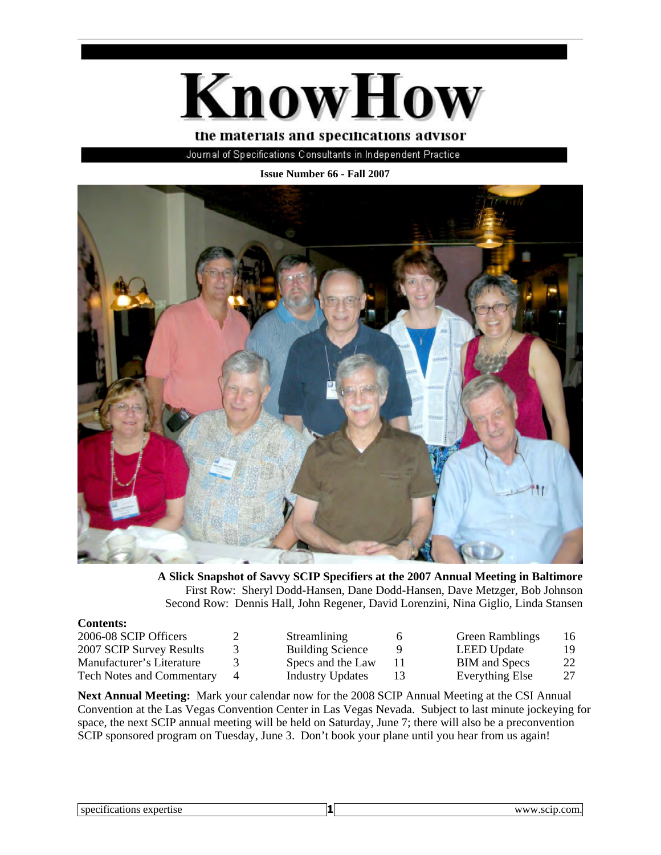

Specifications Consultants in Independent Practice Issue No. 66 - December 2007.

the materials and specifications advisor

Journal of Specifications Consultants in Independent Practice

**Issue Number 66 - Fall 2007**



**A Slick Snapshot of Savvy SCIP Specifiers at the 2007 Annual Meeting in Baltimore**  First Row: Sheryl Dodd-Hansen, Dane Dodd-Hansen, Dave Metzger, Bob Johnson Second Row: Dennis Hall, John Regener, David Lorenzini, Nina Giglio, Linda Stansen

|                | Streamlining            | <sub>6</sub> | <b>Green Ramblings</b> | 16 |
|----------------|-------------------------|--------------|------------------------|----|
| $\mathfrak{I}$ | <b>Building Science</b> |              | LEED Update            | 19 |
| $\prec$        | Specs and the Law       |              | <b>BIM</b> and Specs   | 22 |
|                | <b>Industry Updates</b> | 13           | Everything Else        | 27 |
|                |                         |              |                        |    |

**Next Annual Meeting:** Mark your calendar now for the 2008 SCIP Annual Meeting at the CSI Annual Convention at the Las Vegas Convention Center in Las Vegas Nevada. Subject to last minute jockeying for space, the next SCIP annual meeting will be held on Saturday, June 7; there will also be a preconvention SCIP sponsored program on Tuesday, June 3. Don't book your plane until you hear from us again!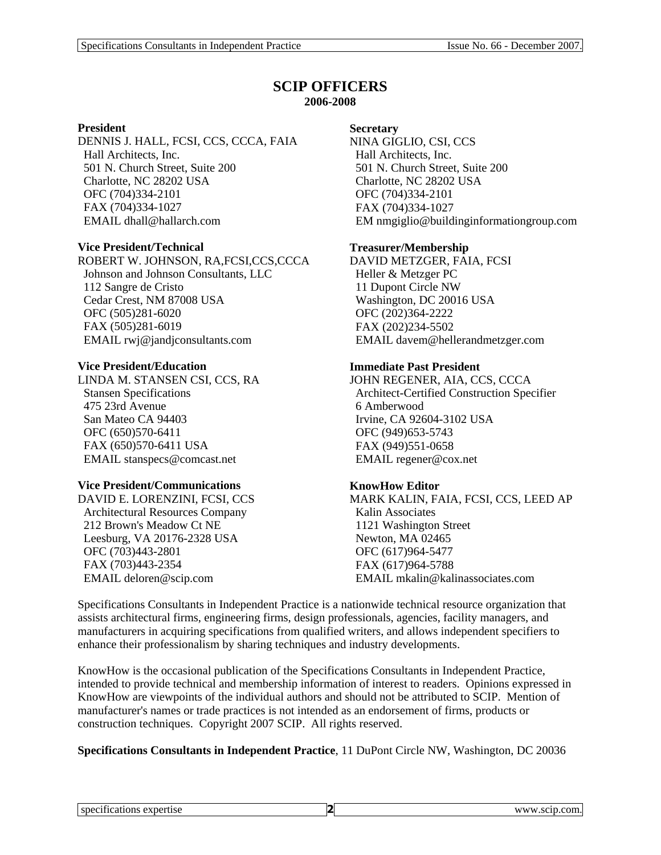# **SCIP OFFICERS 2006-2008**

# **President**

DENNIS J. HALL, FCSI, CCS, CCCA, FAIA Hall Architects, Inc. 501 N. Church Street, Suite 200 Charlotte, NC 28202 USA OFC (704)334-2101 FAX (704)334-1027 EMAIL dhall@hallarch.com

# **Vice President/Technical**

ROBERT W. JOHNSON, RA,FCSI,CCS,CCCA Johnson and Johnson Consultants, LLC 112 Sangre de Cristo Cedar Crest, NM 87008 USA OFC (505)281-6020 FAX (505)281-6019 EMAIL rwj@jandjconsultants.com

# **Vice President/Education**

LINDA M. STANSEN CSI, CCS, RA Stansen Specifications 475 23rd Avenue San Mateo CA 94403 OFC (650)570-6411 FAX (650)570-6411 USA EMAIL stanspecs@comcast.net

# **Vice President/Communications**

DAVID E. LORENZINI, FCSI, CCS Architectural Resources Company 212 Brown's Meadow Ct NE Leesburg, VA 20176-2328 USA OFC (703)443-2801 FAX (703)443-2354 EMAIL deloren@scip.com

# **Secretary**

NINA GIGLIO, CSI, CCS Hall Architects, Inc. 501 N. Church Street, Suite 200 Charlotte, NC 28202 USA OFC (704)334-2101 FAX (704)334-1027 EM nmgiglio@buildinginformationgroup.com

# **Treasurer/Membership**

DAVID METZGER, FAIA, FCSI Heller & Metzger PC 11 Dupont Circle NW Washington, DC 20016 USA OFC (202)364-2222 FAX (202)234-5502 EMAIL davem@hellerandmetzger.com

# **Immediate Past President**

JOHN REGENER, AIA, CCS, CCCA Architect-Certified Construction Specifier 6 Amberwood Irvine, CA 92604-3102 USA OFC (949)653-5743 FAX (949)551-0658 EMAIL regener@cox.net

# **KnowHow Editor**

MARK KALIN, FAIA, FCSI, CCS, LEED AP Kalin Associates 1121 Washington Street Newton, MA 02465 OFC (617)964-5477 FAX (617)964-5788 EMAIL mkalin@kalinassociates.com

Specifications Consultants in Independent Practice is a nationwide technical resource organization that assists architectural firms, engineering firms, design professionals, agencies, facility managers, and manufacturers in acquiring specifications from qualified writers, and allows independent specifiers to enhance their professionalism by sharing techniques and industry developments.

KnowHow is the occasional publication of the Specifications Consultants in Independent Practice, intended to provide technical and membership information of interest to readers. Opinions expressed in KnowHow are viewpoints of the individual authors and should not be attributed to SCIP. Mention of manufacturer's names or trade practices is not intended as an endorsement of firms, products or construction techniques. Copyright 2007 SCIP. All rights reserved.

**Specifications Consultants in Independent Practice**, 11 DuPont Circle NW, Washington, DC 20036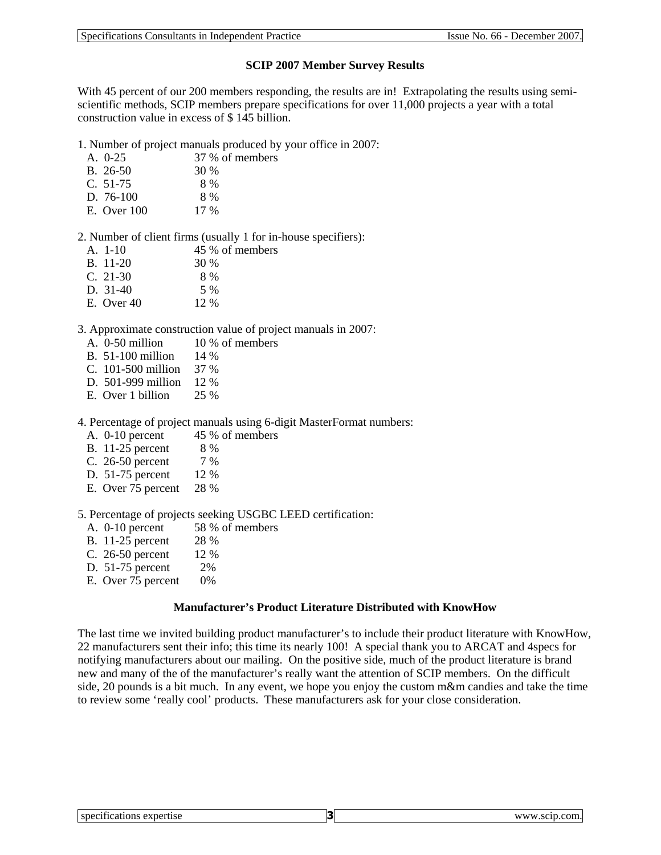# **SCIP 2007 Member Survey Results**

With 45 percent of our 200 members responding, the results are in! Extrapolating the results using semiscientific methods, SCIP members prepare specifications for over 11,000 projects a year with a total construction value in excess of \$ 145 billion.

1. Number of project manuals produced by your office in 2007:

| A. $0-25$  | 37 % of members |  |
|------------|-----------------|--|
| $B. 26-50$ | 30 %            |  |

- C. 51-75 8 %
- D. 76-100 8 %
- E. Over 100 17 %

2. Number of client firms (usually 1 for in-house specifiers):

| A. 1-10 | 45 % of members |
|---------|-----------------|
|---------|-----------------|

- B. 11-20 30 % C.  $21-30$  8 %
- D. 31-40 5 %
- E. Over 40 12 %

3. Approximate construction value of project manuals in 2007:

- A. 0-50 million 10 % of members
- B. 51-100 million 14 %
- C. 101-500 million 37 %
- D. 501-999 million 12 %
- E. Over 1 billion 25 %

4. Percentage of project manuals using 6-digit MasterFormat numbers:

- A. 0-10 percent 45 % of members
- B. 11-25 percent 8 %
- C. 26-50 percent 7 %
- D. 51-75 percent 12 %
- E. Over 75 percent 28 %

5. Percentage of projects seeking USGBC LEED certification:

- A. 0-10 percent 58 % of members
- B. 11-25 percent 28 %
- C. 26-50 percent 12 %
- D. 51-75 percent 2%
- E. Over 75 percent 0%

# **Manufacturer's Product Literature Distributed with KnowHow**

The last time we invited building product manufacturer's to include their product literature with KnowHow, 22 manufacturers sent their info; this time its nearly 100! A special thank you to ARCAT and 4specs for notifying manufacturers about our mailing. On the positive side, much of the product literature is brand new and many of the of the manufacturer's really want the attention of SCIP members. On the difficult side, 20 pounds is a bit much. In any event, we hope you enjoy the custom m&m candies and take the time to review some 'really cool' products. These manufacturers ask for your close consideration.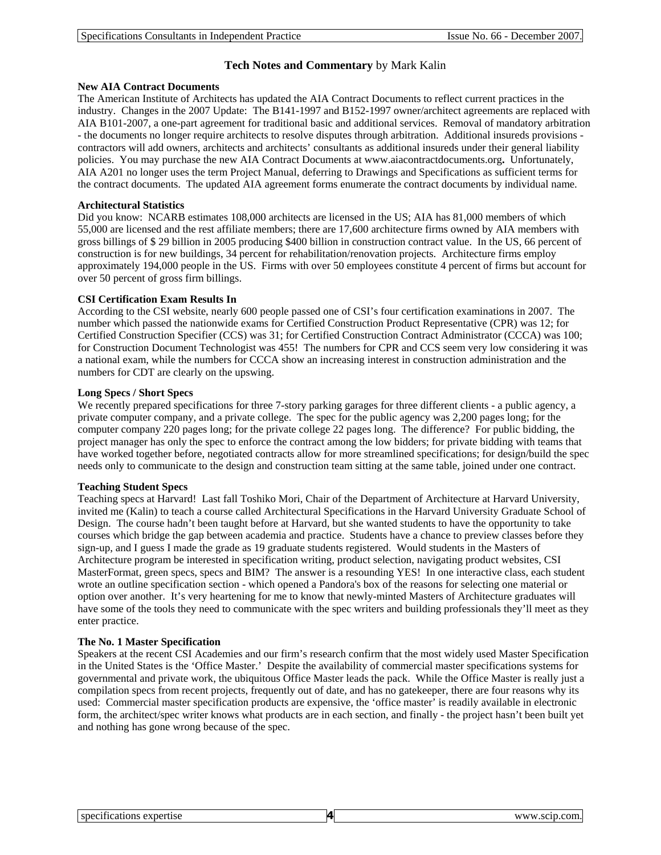# **Tech Notes and Commentary** by Mark Kalin

#### **New AIA Contract Documents**

The American Institute of Architects has updated the AIA Contract Documents to reflect current practices in the industry. Changes in the 2007 Update: The B141-1997 and B152-1997 owner/architect agreements are replaced with AIA B101-2007, a one-part agreement for traditional basic and additional services. Removal of mandatory arbitration - the documents no longer require architects to resolve disputes through arbitration. Additional insureds provisions contractors will add owners, architects and architects' consultants as additional insureds under their general liability policies. You may purchase the new AIA Contract Documents at www.aiacontractdocuments.org**.** Unfortunately, AIA A201 no longer uses the term Project Manual, deferring to Drawings and Specifications as sufficient terms for the contract documents. The updated AIA agreement forms enumerate the contract documents by individual name.

## **Architectural Statistics**

Did you know: NCARB estimates 108,000 architects are licensed in the US; AIA has 81,000 members of which 55,000 are licensed and the rest affiliate members; there are 17,600 architecture firms owned by AIA members with gross billings of \$ 29 billion in 2005 producing \$400 billion in construction contract value. In the US, 66 percent of construction is for new buildings, 34 percent for rehabilitation/renovation projects. Architecture firms employ approximately 194,000 people in the US. Firms with over 50 employees constitute 4 percent of firms but account for over 50 percent of gross firm billings.

# **CSI Certification Exam Results In**

According to the CSI website, nearly 600 people passed one of CSI's four certification examinations in 2007. The number which passed the nationwide exams for Certified Construction Product Representative (CPR) was 12; for Certified Construction Specifier (CCS) was 31; for Certified Construction Contract Administrator (CCCA) was 100; for Construction Document Technologist was 455! The numbers for CPR and CCS seem very low considering it was a national exam, while the numbers for CCCA show an increasing interest in construction administration and the numbers for CDT are clearly on the upswing.

### **Long Specs / Short Specs**

We recently prepared specifications for three 7-story parking garages for three different clients - a public agency, a private computer company, and a private college. The spec for the public agency was 2,200 pages long; for the computer company 220 pages long; for the private college 22 pages long. The difference? For public bidding, the project manager has only the spec to enforce the contract among the low bidders; for private bidding with teams that have worked together before, negotiated contracts allow for more streamlined specifications; for design/build the spec needs only to communicate to the design and construction team sitting at the same table, joined under one contract.

# **Teaching Student Specs**

Teaching specs at Harvard! Last fall Toshiko Mori, Chair of the Department of Architecture at Harvard University, invited me (Kalin) to teach a course called Architectural Specifications in the Harvard University Graduate School of Design. The course hadn't been taught before at Harvard, but she wanted students to have the opportunity to take courses which bridge the gap between academia and practice. Students have a chance to preview classes before they sign-up, and I guess I made the grade as 19 graduate students registered. Would students in the Masters of Architecture program be interested in specification writing, product selection, navigating product websites, CSI MasterFormat, green specs, specs and BIM? The answer is a resounding YES! In one interactive class, each student wrote an outline specification section - which opened a Pandora's box of the reasons for selecting one material or option over another. It's very heartening for me to know that newly-minted Masters of Architecture graduates will have some of the tools they need to communicate with the spec writers and building professionals they'll meet as they enter practice.

#### **The No. 1 Master Specification**

Speakers at the recent CSI Academies and our firm's research confirm that the most widely used Master Specification in the United States is the 'Office Master.' Despite the availability of commercial master specifications systems for governmental and private work, the ubiquitous Office Master leads the pack. While the Office Master is really just a compilation specs from recent projects, frequently out of date, and has no gatekeeper, there are four reasons why its used: Commercial master specification products are expensive, the 'office master' is readily available in electronic form, the architect/spec writer knows what products are in each section, and finally - the project hasn't been built yet and nothing has gone wrong because of the spec.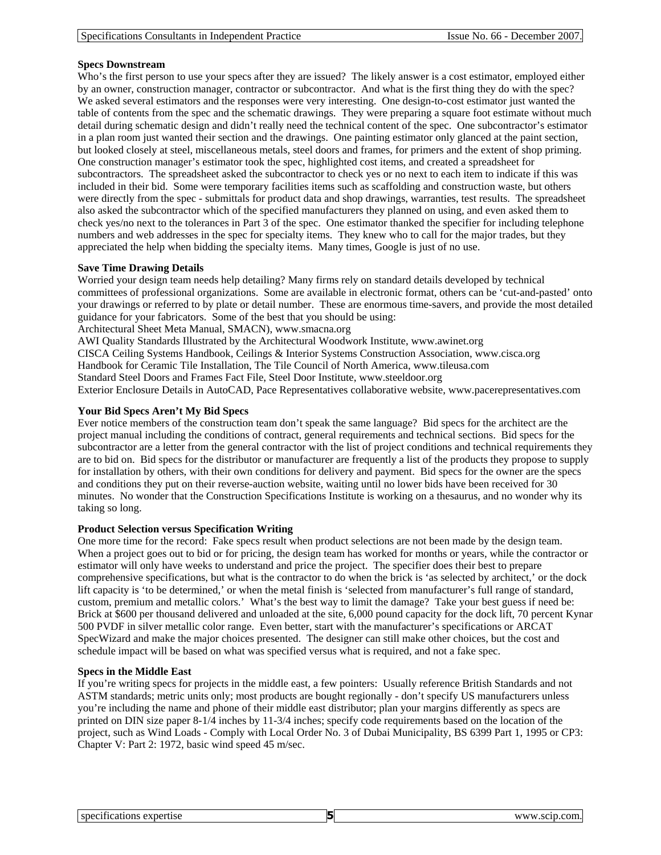## **Specs Downstream**

Who's the first person to use your specs after they are issued? The likely answer is a cost estimator, employed either by an owner, construction manager, contractor or subcontractor. And what is the first thing they do with the spec? We asked several estimators and the responses were very interesting. One design-to-cost estimator just wanted the table of contents from the spec and the schematic drawings. They were preparing a square foot estimate without much detail during schematic design and didn't really need the technical content of the spec. One subcontractor's estimator in a plan room just wanted their section and the drawings. One painting estimator only glanced at the paint section, but looked closely at steel, miscellaneous metals, steel doors and frames, for primers and the extent of shop priming. One construction manager's estimator took the spec, highlighted cost items, and created a spreadsheet for subcontractors. The spreadsheet asked the subcontractor to check yes or no next to each item to indicate if this was included in their bid. Some were temporary facilities items such as scaffolding and construction waste, but others were directly from the spec - submittals for product data and shop drawings, warranties, test results. The spreadsheet also asked the subcontractor which of the specified manufacturers they planned on using, and even asked them to check yes/no next to the tolerances in Part 3 of the spec. One estimator thanked the specifier for including telephone numbers and web addresses in the spec for specialty items. They knew who to call for the major trades, but they appreciated the help when bidding the specialty items. Many times, Google is just of no use.

### **Save Time Drawing Details**

Worried your design team needs help detailing? Many firms rely on standard details developed by technical committees of professional organizations. Some are available in electronic format, others can be 'cut-and-pasted' onto your drawings or referred to by plate or detail number. These are enormous time-savers, and provide the most detailed guidance for your fabricators. Some of the best that you should be using:

Architectural Sheet Meta Manual, SMACN), www.smacna.org

AWI Quality Standards Illustrated by the Architectural Woodwork Institute, www.awinet.org CISCA Ceiling Systems Handbook, Ceilings & Interior Systems Construction Association, www.cisca.org Handbook for Ceramic Tile Installation, The Tile Council of North America, www.tileusa.com Standard Steel Doors and Frames Fact File, Steel Door Institute, www.steeldoor.org Exterior Enclosure Details in AutoCAD, Pace Representatives collaborative website, www.pacerepresentatives.com

### **Your Bid Specs Aren't My Bid Specs**

Ever notice members of the construction team don't speak the same language? Bid specs for the architect are the project manual including the conditions of contract, general requirements and technical sections. Bid specs for the subcontractor are a letter from the general contractor with the list of project conditions and technical requirements they are to bid on. Bid specs for the distributor or manufacturer are frequently a list of the products they propose to supply for installation by others, with their own conditions for delivery and payment. Bid specs for the owner are the specs and conditions they put on their reverse-auction website, waiting until no lower bids have been received for 30 minutes. No wonder that the Construction Specifications Institute is working on a thesaurus, and no wonder why its taking so long.

# **Product Selection versus Specification Writing**

One more time for the record: Fake specs result when product selections are not been made by the design team. When a project goes out to bid or for pricing, the design team has worked for months or years, while the contractor or estimator will only have weeks to understand and price the project. The specifier does their best to prepare comprehensive specifications, but what is the contractor to do when the brick is 'as selected by architect,' or the dock lift capacity is 'to be determined,' or when the metal finish is 'selected from manufacturer's full range of standard, custom, premium and metallic colors.' What's the best way to limit the damage? Take your best guess if need be: Brick at \$600 per thousand delivered and unloaded at the site, 6,000 pound capacity for the dock lift, 70 percent Kynar 500 PVDF in silver metallic color range. Even better, start with the manufacturer's specifications or ARCAT SpecWizard and make the major choices presented. The designer can still make other choices, but the cost and schedule impact will be based on what was specified versus what is required, and not a fake spec.

#### **Specs in the Middle East**

If you're writing specs for projects in the middle east, a few pointers: Usually reference British Standards and not ASTM standards; metric units only; most products are bought regionally - don't specify US manufacturers unless you're including the name and phone of their middle east distributor; plan your margins differently as specs are printed on DIN size paper 8-1/4 inches by 11-3/4 inches; specify code requirements based on the location of the project, such as Wind Loads - Comply with Local Order No. 3 of Dubai Municipality, BS 6399 Part 1, 1995 or CP3: Chapter V: Part 2: 1972, basic wind speed 45 m/sec.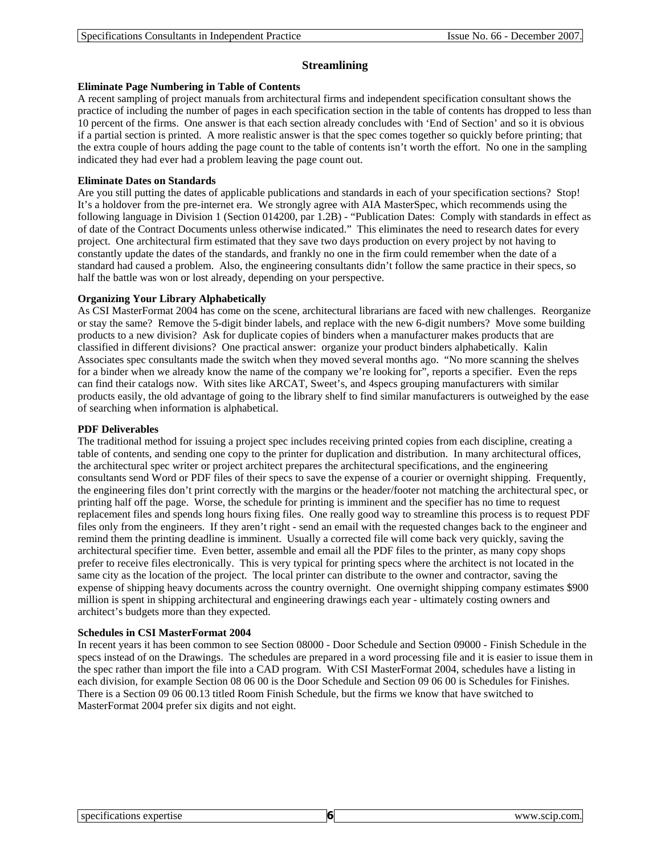# **Streamlining**

## **Eliminate Page Numbering in Table of Contents**

A recent sampling of project manuals from architectural firms and independent specification consultant shows the practice of including the number of pages in each specification section in the table of contents has dropped to less than 10 percent of the firms. One answer is that each section already concludes with 'End of Section' and so it is obvious if a partial section is printed. A more realistic answer is that the spec comes together so quickly before printing; that the extra couple of hours adding the page count to the table of contents isn't worth the effort. No one in the sampling indicated they had ever had a problem leaving the page count out.

### **Eliminate Dates on Standards**

Are you still putting the dates of applicable publications and standards in each of your specification sections? Stop! It's a holdover from the pre-internet era. We strongly agree with AIA MasterSpec, which recommends using the following language in Division 1 (Section 014200, par 1.2B) - "Publication Dates: Comply with standards in effect as of date of the Contract Documents unless otherwise indicated." This eliminates the need to research dates for every project. One architectural firm estimated that they save two days production on every project by not having to constantly update the dates of the standards, and frankly no one in the firm could remember when the date of a standard had caused a problem. Also, the engineering consultants didn't follow the same practice in their specs, so half the battle was won or lost already, depending on your perspective.

# **Organizing Your Library Alphabetically**

As CSI MasterFormat 2004 has come on the scene, architectural librarians are faced with new challenges. Reorganize or stay the same? Remove the 5-digit binder labels, and replace with the new 6-digit numbers? Move some building products to a new division? Ask for duplicate copies of binders when a manufacturer makes products that are classified in different divisions? One practical answer: organize your product binders alphabetically. Kalin Associates spec consultants made the switch when they moved several months ago. "No more scanning the shelves for a binder when we already know the name of the company we're looking for", reports a specifier. Even the reps can find their catalogs now. With sites like ARCAT, Sweet's, and 4specs grouping manufacturers with similar products easily, the old advantage of going to the library shelf to find similar manufacturers is outweighed by the ease of searching when information is alphabetical.

## **PDF Deliverables**

The traditional method for issuing a project spec includes receiving printed copies from each discipline, creating a table of contents, and sending one copy to the printer for duplication and distribution. In many architectural offices, the architectural spec writer or project architect prepares the architectural specifications, and the engineering consultants send Word or PDF files of their specs to save the expense of a courier or overnight shipping. Frequently, the engineering files don't print correctly with the margins or the header/footer not matching the architectural spec, or printing half off the page. Worse, the schedule for printing is imminent and the specifier has no time to request replacement files and spends long hours fixing files. One really good way to streamline this process is to request PDF files only from the engineers. If they aren't right - send an email with the requested changes back to the engineer and remind them the printing deadline is imminent. Usually a corrected file will come back very quickly, saving the architectural specifier time. Even better, assemble and email all the PDF files to the printer, as many copy shops prefer to receive files electronically. This is very typical for printing specs where the architect is not located in the same city as the location of the project. The local printer can distribute to the owner and contractor, saving the expense of shipping heavy documents across the country overnight. One overnight shipping company estimates \$900 million is spent in shipping architectural and engineering drawings each year - ultimately costing owners and architect's budgets more than they expected.

# **Schedules in CSI MasterFormat 2004**

In recent years it has been common to see Section 08000 - Door Schedule and Section 09000 - Finish Schedule in the specs instead of on the Drawings. The schedules are prepared in a word processing file and it is easier to issue them in the spec rather than import the file into a CAD program. With CSI MasterFormat 2004, schedules have a listing in each division, for example Section 08 06 00 is the Door Schedule and Section 09 06 00 is Schedules for Finishes. There is a Section 09 06 00.13 titled Room Finish Schedule, but the firms we know that have switched to MasterFormat 2004 prefer six digits and not eight.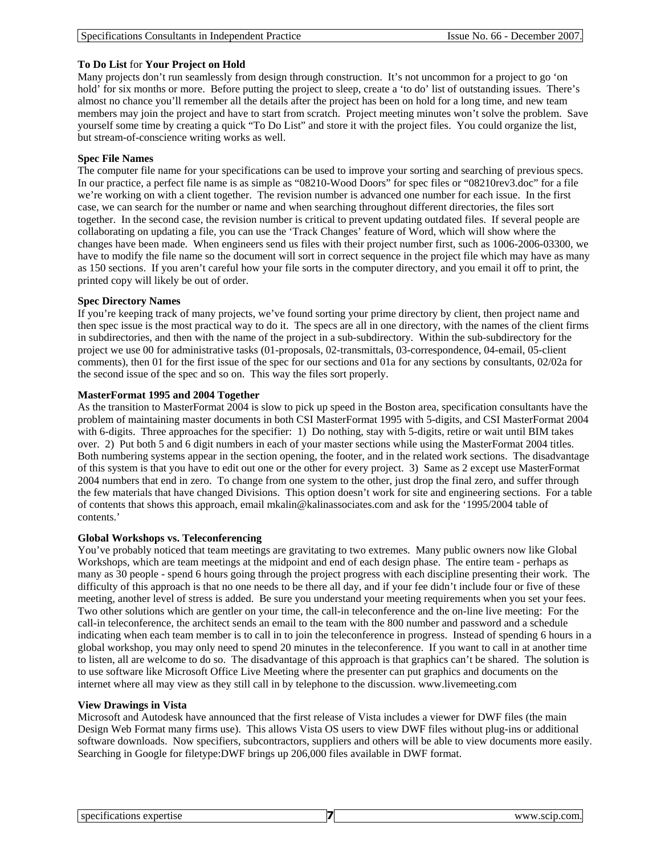## **To Do List** for **Your Project on Hold**

Many projects don't run seamlessly from design through construction. It's not uncommon for a project to go 'on hold' for six months or more. Before putting the project to sleep, create a 'to do' list of outstanding issues. There's almost no chance you'll remember all the details after the project has been on hold for a long time, and new team members may join the project and have to start from scratch. Project meeting minutes won't solve the problem. Save yourself some time by creating a quick "To Do List" and store it with the project files. You could organize the list, but stream-of-conscience writing works as well.

### **Spec File Names**

The computer file name for your specifications can be used to improve your sorting and searching of previous specs. In our practice, a perfect file name is as simple as "08210-Wood Doors" for spec files or "08210rev3.doc" for a file we're working on with a client together. The revision number is advanced one number for each issue. In the first case, we can search for the number or name and when searching throughout different directories, the files sort together. In the second case, the revision number is critical to prevent updating outdated files. If several people are collaborating on updating a file, you can use the 'Track Changes' feature of Word, which will show where the changes have been made. When engineers send us files with their project number first, such as 1006-2006-03300, we have to modify the file name so the document will sort in correct sequence in the project file which may have as many as 150 sections. If you aren't careful how your file sorts in the computer directory, and you email it off to print, the printed copy will likely be out of order.

#### **Spec Directory Names**

If you're keeping track of many projects, we've found sorting your prime directory by client, then project name and then spec issue is the most practical way to do it. The specs are all in one directory, with the names of the client firms in subdirectories, and then with the name of the project in a sub-subdirectory. Within the sub-subdirectory for the project we use 00 for administrative tasks (01-proposals, 02-transmittals, 03-correspondence, 04-email, 05-client comments), then 01 for the first issue of the spec for our sections and 01a for any sections by consultants, 02/02a for the second issue of the spec and so on. This way the files sort properly.

### **MasterFormat 1995 and 2004 Together**

As the transition to MasterFormat 2004 is slow to pick up speed in the Boston area, specification consultants have the problem of maintaining master documents in both CSI MasterFormat 1995 with 5-digits, and CSI MasterFormat 2004 with 6-digits. Three approaches for the specifier: 1) Do nothing, stay with 5-digits, retire or wait until BIM takes over. 2) Put both 5 and 6 digit numbers in each of your master sections while using the MasterFormat 2004 titles. Both numbering systems appear in the section opening, the footer, and in the related work sections. The disadvantage of this system is that you have to edit out one or the other for every project. 3) Same as 2 except use MasterFormat 2004 numbers that end in zero. To change from one system to the other, just drop the final zero, and suffer through the few materials that have changed Divisions. This option doesn't work for site and engineering sections. For a table of contents that shows this approach, email mkalin@kalinassociates.com and ask for the '1995/2004 table of contents.'

#### **Global Workshops vs. Teleconferencing**

You've probably noticed that team meetings are gravitating to two extremes. Many public owners now like Global Workshops, which are team meetings at the midpoint and end of each design phase. The entire team - perhaps as many as 30 people - spend 6 hours going through the project progress with each discipline presenting their work. The difficulty of this approach is that no one needs to be there all day, and if your fee didn't include four or five of these meeting, another level of stress is added. Be sure you understand your meeting requirements when you set your fees. Two other solutions which are gentler on your time, the call-in teleconference and the on-line live meeting: For the call-in teleconference, the architect sends an email to the team with the 800 number and password and a schedule indicating when each team member is to call in to join the teleconference in progress. Instead of spending 6 hours in a global workshop, you may only need to spend 20 minutes in the teleconference. If you want to call in at another time to listen, all are welcome to do so. The disadvantage of this approach is that graphics can't be shared. The solution is to use software like Microsoft Office Live Meeting where the presenter can put graphics and documents on the internet where all may view as they still call in by telephone to the discussion. www.livemeeting.com

#### **View Drawings in Vista**

Microsoft and Autodesk have announced that the first release of Vista includes a viewer for DWF files (the main Design Web Format many firms use). This allows Vista OS users to view DWF files without plug-ins or additional software downloads. Now specifiers, subcontractors, suppliers and others will be able to view documents more easily. Searching in Google for filetype:DWF brings up 206,000 files available in DWF format.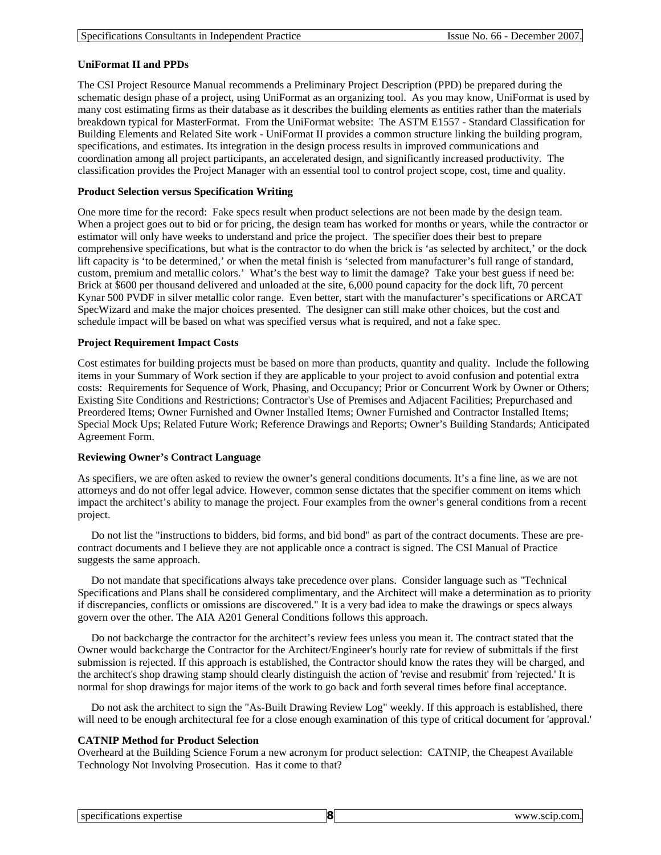### **UniFormat II and PPDs**

The CSI Project Resource Manual recommends a Preliminary Project Description (PPD) be prepared during the schematic design phase of a project, using UniFormat as an organizing tool. As you may know, UniFormat is used by many cost estimating firms as their database as it describes the building elements as entities rather than the materials breakdown typical for MasterFormat. From the UniFormat website: The ASTM E1557 - Standard Classification for Building Elements and Related Site work - UniFormat II provides a common structure linking the building program, specifications, and estimates. Its integration in the design process results in improved communications and coordination among all project participants, an accelerated design, and significantly increased productivity. The classification provides the Project Manager with an essential tool to control project scope, cost, time and quality.

#### **Product Selection versus Specification Writing**

One more time for the record: Fake specs result when product selections are not been made by the design team. When a project goes out to bid or for pricing, the design team has worked for months or years, while the contractor or estimator will only have weeks to understand and price the project. The specifier does their best to prepare comprehensive specifications, but what is the contractor to do when the brick is 'as selected by architect,' or the dock lift capacity is 'to be determined,' or when the metal finish is 'selected from manufacturer's full range of standard, custom, premium and metallic colors.' What's the best way to limit the damage? Take your best guess if need be: Brick at \$600 per thousand delivered and unloaded at the site, 6,000 pound capacity for the dock lift, 70 percent Kynar 500 PVDF in silver metallic color range. Even better, start with the manufacturer's specifications or ARCAT SpecWizard and make the major choices presented. The designer can still make other choices, but the cost and schedule impact will be based on what was specified versus what is required, and not a fake spec.

### **Project Requirement Impact Costs**

Cost estimates for building projects must be based on more than products, quantity and quality. Include the following items in your Summary of Work section if they are applicable to your project to avoid confusion and potential extra costs: Requirements for Sequence of Work, Phasing, and Occupancy; Prior or Concurrent Work by Owner or Others; Existing Site Conditions and Restrictions; Contractor's Use of Premises and Adjacent Facilities; Prepurchased and Preordered Items; Owner Furnished and Owner Installed Items; Owner Furnished and Contractor Installed Items; Special Mock Ups; Related Future Work; Reference Drawings and Reports; Owner's Building Standards; Anticipated Agreement Form.

#### **Reviewing Owner's Contract Language**

As specifiers, we are often asked to review the owner's general conditions documents. It's a fine line, as we are not attorneys and do not offer legal advice. However, common sense dictates that the specifier comment on items which impact the architect's ability to manage the project. Four examples from the owner's general conditions from a recent project.

 Do not list the "instructions to bidders, bid forms, and bid bond" as part of the contract documents. These are precontract documents and I believe they are not applicable once a contract is signed. The CSI Manual of Practice suggests the same approach.

 Do not mandate that specifications always take precedence over plans. Consider language such as "Technical Specifications and Plans shall be considered complimentary, and the Architect will make a determination as to priority if discrepancies, conflicts or omissions are discovered." It is a very bad idea to make the drawings or specs always govern over the other. The AIA A201 General Conditions follows this approach.

 Do not backcharge the contractor for the architect's review fees unless you mean it. The contract stated that the Owner would backcharge the Contractor for the Architect/Engineer's hourly rate for review of submittals if the first submission is rejected. If this approach is established, the Contractor should know the rates they will be charged, and the architect's shop drawing stamp should clearly distinguish the action of 'revise and resubmit' from 'rejected.' It is normal for shop drawings for major items of the work to go back and forth several times before final acceptance.

 Do not ask the architect to sign the "As-Built Drawing Review Log" weekly. If this approach is established, there will need to be enough architectural fee for a close enough examination of this type of critical document for 'approval.'

# **CATNIP Method for Product Selection**

Overheard at the Building Science Forum a new acronym for product selection: CATNIP, the Cheapest Available Technology Not Involving Prosecution. Has it come to that?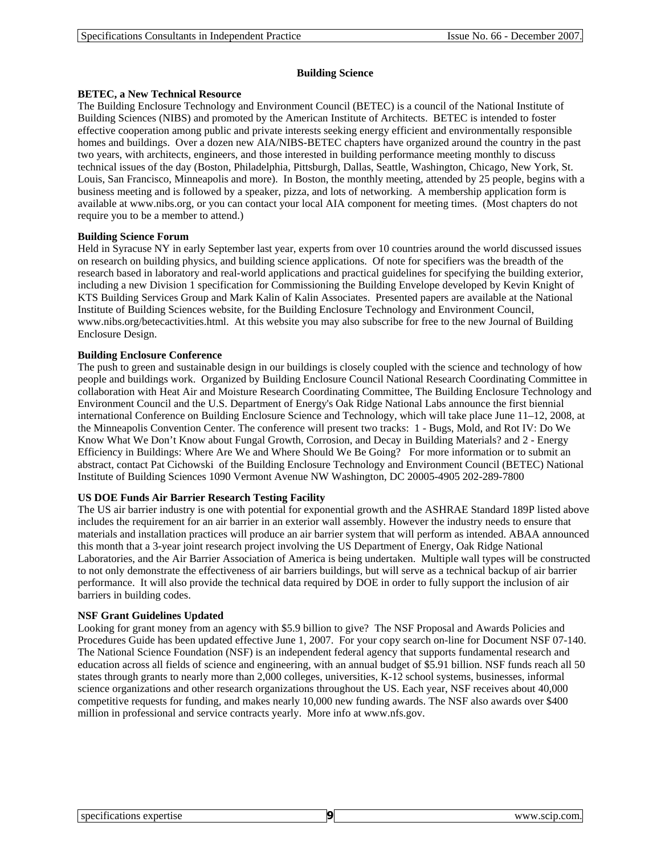### **Building Science**

### **BETEC, a New Technical Resource**

The Building Enclosure Technology and Environment Council (BETEC) is a council of the National Institute of Building Sciences (NIBS) and promoted by the American Institute of Architects. BETEC is intended to foster effective cooperation among public and private interests seeking energy efficient and environmentally responsible homes and buildings. Over a dozen new AIA/NIBS-BETEC chapters have organized around the country in the past two years, with architects, engineers, and those interested in building performance meeting monthly to discuss technical issues of the day (Boston, Philadelphia, Pittsburgh, Dallas, Seattle, Washington, Chicago, New York, St. Louis, San Francisco, Minneapolis and more). In Boston, the monthly meeting, attended by 25 people, begins with a business meeting and is followed by a speaker, pizza, and lots of networking. A membership application form is available at www.nibs.org, or you can contact your local AIA component for meeting times. (Most chapters do not require you to be a member to attend.)

### **Building Science Forum**

Held in Syracuse NY in early September last year, experts from over 10 countries around the world discussed issues on research on building physics, and building science applications. Of note for specifiers was the breadth of the research based in laboratory and real-world applications and practical guidelines for specifying the building exterior, including a new Division 1 specification for Commissioning the Building Envelope developed by Kevin Knight of KTS Building Services Group and Mark Kalin of Kalin Associates. Presented papers are available at the National Institute of Building Sciences website, for the Building Enclosure Technology and Environment Council, www.nibs.org/betecactivities.html. At this website you may also subscribe for free to the new Journal of Building Enclosure Design.

### **Building Enclosure Conference**

The push to green and sustainable design in our buildings is closely coupled with the science and technology of how people and buildings work. Organized by Building Enclosure Council National Research Coordinating Committee in collaboration with Heat Air and Moisture Research Coordinating Committee, The Building Enclosure Technology and Environment Council and the U.S. Department of Energy's Oak Ridge National Labs announce the first biennial international Conference on Building Enclosure Science and Technology, which will take place June 11–12, 2008, at the Minneapolis Convention Center. The conference will present two tracks: 1 - Bugs, Mold, and Rot IV: Do We Know What We Don't Know about Fungal Growth, Corrosion, and Decay in Building Materials? and 2 - Energy Efficiency in Buildings: Where Are We and Where Should We Be Going? For more information or to submit an abstract, contact Pat Cichowski of the Building Enclosure Technology and Environment Council (BETEC) National Institute of Building Sciences 1090 Vermont Avenue NW Washington, DC 20005-4905 202-289-7800

#### **US DOE Funds Air Barrier Research Testing Facility**

The US air barrier industry is one with potential for exponential growth and the ASHRAE Standard 189P listed above includes the requirement for an air barrier in an exterior wall assembly. However the industry needs to ensure that materials and installation practices will produce an air barrier system that will perform as intended. ABAA announced this month that a 3-year joint research project involving the US Department of Energy, Oak Ridge National Laboratories, and the Air Barrier Association of America is being undertaken. Multiple wall types will be constructed to not only demonstrate the effectiveness of air barriers buildings, but will serve as a technical backup of air barrier performance. It will also provide the technical data required by DOE in order to fully support the inclusion of air barriers in building codes.

# **NSF Grant Guidelines Updated**

Looking for grant money from an agency with \$5.9 billion to give? The NSF Proposal and Awards Policies and Procedures Guide has been updated effective June 1, 2007. For your copy search on-line for Document NSF 07-140. The National Science Foundation (NSF) is an independent federal agency that supports fundamental research and education across all fields of science and engineering, with an annual budget of \$5.91 billion. NSF funds reach all 50 states through grants to nearly more than 2,000 colleges, universities, K-12 school systems, businesses, informal science organizations and other research organizations throughout the US. Each year, NSF receives about 40,000 competitive requests for funding, and makes nearly 10,000 new funding awards. The NSF also awards over \$400 million in professional and service contracts yearly. More info at www.nfs.gov.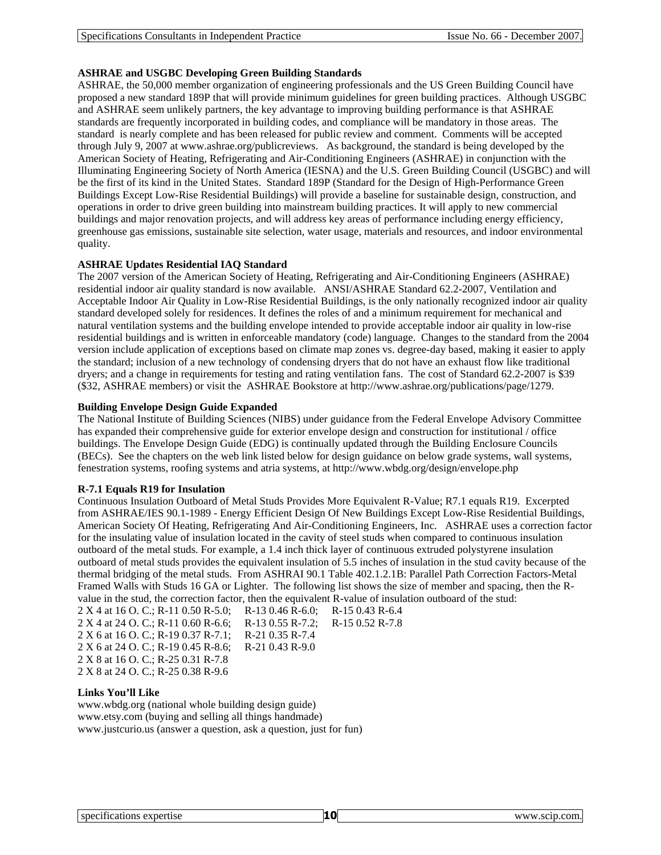# **ASHRAE and USGBC Developing Green Building Standards**

ASHRAE, the 50,000 member organization of engineering professionals and the US Green Building Council have proposed a new standard 189P that will provide minimum guidelines for green building practices. Although USGBC and ASHRAE seem unlikely partners, the key advantage to improving building performance is that ASHRAE standards are frequently incorporated in building codes, and compliance will be mandatory in those areas. The standard is nearly complete and has been released for public review and comment. Comments will be accepted through July 9, 2007 at www.ashrae.org/publicreviews. As background, the standard is being developed by the American Society of Heating, Refrigerating and Air-Conditioning Engineers (ASHRAE) in conjunction with the Illuminating Engineering Society of North America (IESNA) and the U.S. Green Building Council (USGBC) and will be the first of its kind in the United States. Standard 189P (Standard for the Design of High-Performance Green Buildings Except Low-Rise Residential Buildings) will provide a baseline for sustainable design, construction, and operations in order to drive green building into mainstream building practices. It will apply to new commercial buildings and major renovation projects, and will address key areas of performance including energy efficiency, greenhouse gas emissions, sustainable site selection, water usage, materials and resources, and indoor environmental quality.

# **ASHRAE Updates Residential IAQ Standard**

The 2007 version of the American Society of Heating, Refrigerating and Air-Conditioning Engineers (ASHRAE) residential indoor air quality standard is now available. ANSI/ASHRAE Standard 62.2-2007, Ventilation and Acceptable Indoor Air Quality in Low-Rise Residential Buildings, is the only nationally recognized indoor air quality standard developed solely for residences. It defines the roles of and a minimum requirement for mechanical and natural ventilation systems and the building envelope intended to provide acceptable indoor air quality in low-rise residential buildings and is written in enforceable mandatory (code) language. Changes to the standard from the 2004 version include application of exceptions based on climate map zones vs. degree-day based, making it easier to apply the standard; inclusion of a new technology of condensing dryers that do not have an exhaust flow like traditional dryers; and a change in requirements for testing and rating ventilation fans. The cost of Standard 62.2-2007 is \$39 (\$32, ASHRAE members) or visit the ASHRAE Bookstore at http://www.ashrae.org/publications/page/1279.

### **Building Envelope Design Guide Expanded**

The National Institute of Building Sciences (NIBS) under guidance from the Federal Envelope Advisory Committee has expanded their comprehensive guide for exterior envelope design and construction for institutional / office buildings. The Envelope Design Guide (EDG) is continually updated through the Building Enclosure Councils (BECs). See the chapters on the web link listed below for design guidance on below grade systems, wall systems, fenestration systems, roofing systems and atria systems, at http://www.wbdg.org/design/envelope.php

#### **R-7.1 Equals R19 for Insulation**

Continuous Insulation Outboard of Metal Studs Provides More Equivalent R-Value; R7.1 equals R19. Excerpted from ASHRAE/IES 90.1-1989 - Energy Efficient Design Of New Buildings Except Low-Rise Residential Buildings, American Society Of Heating, Refrigerating And Air-Conditioning Engineers, Inc. ASHRAE uses a correction factor for the insulating value of insulation located in the cavity of steel studs when compared to continuous insulation outboard of the metal studs. For example, a 1.4 inch thick layer of continuous extruded polystyrene insulation outboard of metal studs provides the equivalent insulation of 5.5 inches of insulation in the stud cavity because of the thermal bridging of the metal studs. From ASHRAI 90.1 Table 402.1.2.1B: Parallel Path Correction Factors-Metal Framed Walls with Studs 16 GA or Lighter. The following list shows the size of member and spacing, then the Rvalue in the stud, the correction factor, then the equivalent R-value of insulation outboard of the stud:

2 X 4 at 16 O. C.; R-11 0.50 R-5.0; R-13 0.46 R-6.0; R-15 0.43 R-6.4 2 X 4 at 24 O. C.; R-11 0.60 R-6.6; R-13 0.55 R-7.2; R-15 0.52 R-7.8 2 X 6 at 16 O. C.; R-19 0.37 R-7.1; R-21 0.35 R-7.4 2 X 6 at 24 O. C.; R-19 0.45 R-8.6; R-21 0.43 R-9.0 2 X 8 at 16 O. C.; R-25 0.31 R-7.8 2 X 8 at 24 O. C.; R-25 0.38 R-9.6

#### **Links You'll Like**

www.wbdg.org (national whole building design guide) www.etsy.com (buying and selling all things handmade) www.justcurio.us (answer a question, ask a question, just for fun)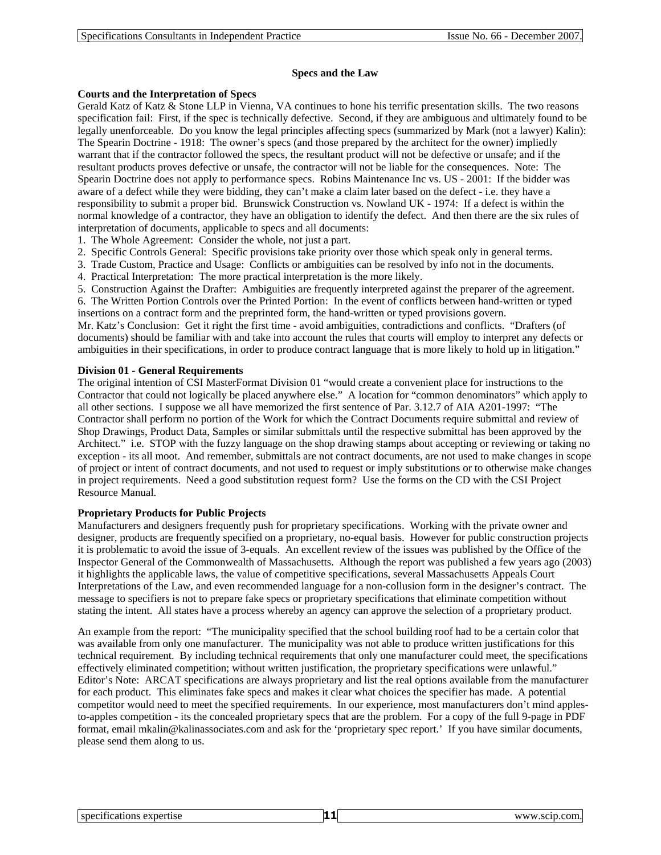## **Specs and the Law**

## **Courts and the Interpretation of Specs**

Gerald Katz of Katz & Stone LLP in Vienna, VA continues to hone his terrific presentation skills. The two reasons specification fail: First, if the spec is technically defective. Second, if they are ambiguous and ultimately found to be legally unenforceable. Do you know the legal principles affecting specs (summarized by Mark (not a lawyer) Kalin): The Spearin Doctrine - 1918: The owner's specs (and those prepared by the architect for the owner) impliedly warrant that if the contractor followed the specs, the resultant product will not be defective or unsafe; and if the resultant products proves defective or unsafe, the contractor will not be liable for the consequences. Note: The Spearin Doctrine does not apply to performance specs. Robins Maintenance Inc vs. US - 2001: If the bidder was aware of a defect while they were bidding, they can't make a claim later based on the defect - i.e. they have a responsibility to submit a proper bid. Brunswick Construction vs. Nowland UK - 1974: If a defect is within the normal knowledge of a contractor, they have an obligation to identify the defect. And then there are the six rules of interpretation of documents, applicable to specs and all documents:

- 1. The Whole Agreement: Consider the whole, not just a part.
- 2. Specific Controls General: Specific provisions take priority over those which speak only in general terms.
- 3. Trade Custom, Practice and Usage: Conflicts or ambiguities can be resolved by info not in the documents.
- 4. Practical Interpretation: The more practical interpretation is the more likely.
- 5. Construction Against the Drafter: Ambiguities are frequently interpreted against the preparer of the agreement.
- 6. The Written Portion Controls over the Printed Portion: In the event of conflicts between hand-written or typed insertions on a contract form and the preprinted form, the hand-written or typed provisions govern.

Mr. Katz's Conclusion: Get it right the first time - avoid ambiguities, contradictions and conflicts. "Drafters (of documents) should be familiar with and take into account the rules that courts will employ to interpret any defects or ambiguities in their specifications, in order to produce contract language that is more likely to hold up in litigation."

### **Division 01 - General Requirements**

The original intention of CSI MasterFormat Division 01 "would create a convenient place for instructions to the Contractor that could not logically be placed anywhere else." A location for "common denominators" which apply to all other sections. I suppose we all have memorized the first sentence of Par. 3.12.7 of AIA A201-1997: "The Contractor shall perform no portion of the Work for which the Contract Documents require submittal and review of Shop Drawings, Product Data, Samples or similar submittals until the respective submittal has been approved by the Architect." i.e. STOP with the fuzzy language on the shop drawing stamps about accepting or reviewing or taking no exception - its all moot. And remember, submittals are not contract documents, are not used to make changes in scope of project or intent of contract documents, and not used to request or imply substitutions or to otherwise make changes in project requirements. Need a good substitution request form? Use the forms on the CD with the CSI Project Resource Manual.

# **Proprietary Products for Public Projects**

Manufacturers and designers frequently push for proprietary specifications. Working with the private owner and designer, products are frequently specified on a proprietary, no-equal basis. However for public construction projects it is problematic to avoid the issue of 3-equals. An excellent review of the issues was published by the Office of the Inspector General of the Commonwealth of Massachusetts. Although the report was published a few years ago (2003) it highlights the applicable laws, the value of competitive specifications, several Massachusetts Appeals Court Interpretations of the Law, and even recommended language for a non-collusion form in the designer's contract. The message to specifiers is not to prepare fake specs or proprietary specifications that eliminate competition without stating the intent. All states have a process whereby an agency can approve the selection of a proprietary product.

An example from the report: "The municipality specified that the school building roof had to be a certain color that was available from only one manufacturer. The municipality was not able to produce written justifications for this technical requirement. By including technical requirements that only one manufacturer could meet, the specifications effectively eliminated competition; without written justification, the proprietary specifications were unlawful." Editor's Note: ARCAT specifications are always proprietary and list the real options available from the manufacturer for each product. This eliminates fake specs and makes it clear what choices the specifier has made. A potential competitor would need to meet the specified requirements. In our experience, most manufacturers don't mind applesto-apples competition - its the concealed proprietary specs that are the problem. For a copy of the full 9-page in PDF format, email mkalin@kalinassociates.com and ask for the 'proprietary spec report.' If you have similar documents, please send them along to us.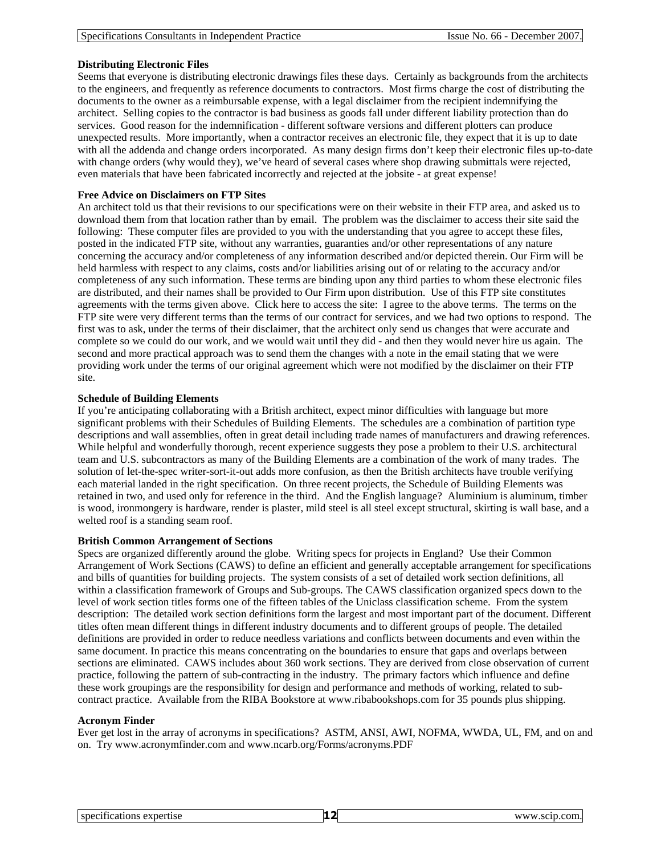## **Distributing Electronic Files**

Seems that everyone is distributing electronic drawings files these days. Certainly as backgrounds from the architects to the engineers, and frequently as reference documents to contractors. Most firms charge the cost of distributing the documents to the owner as a reimbursable expense, with a legal disclaimer from the recipient indemnifying the architect. Selling copies to the contractor is bad business as goods fall under different liability protection than do services. Good reason for the indemnification - different software versions and different plotters can produce unexpected results. More importantly, when a contractor receives an electronic file, they expect that it is up to date with all the addenda and change orders incorporated. As many design firms don't keep their electronic files up-to-date with change orders (why would they), we've heard of several cases where shop drawing submittals were rejected, even materials that have been fabricated incorrectly and rejected at the jobsite - at great expense!

#### **Free Advice on Disclaimers on FTP Sites**

An architect told us that their revisions to our specifications were on their website in their FTP area, and asked us to download them from that location rather than by email. The problem was the disclaimer to access their site said the following: These computer files are provided to you with the understanding that you agree to accept these files, posted in the indicated FTP site, without any warranties, guaranties and/or other representations of any nature concerning the accuracy and/or completeness of any information described and/or depicted therein. Our Firm will be held harmless with respect to any claims, costs and/or liabilities arising out of or relating to the accuracy and/or completeness of any such information. These terms are binding upon any third parties to whom these electronic files are distributed, and their names shall be provided to Our Firm upon distribution. Use of this FTP site constitutes agreements with the terms given above. Click here to access the site: I agree to the above terms. The terms on the FTP site were very different terms than the terms of our contract for services, and we had two options to respond. The first was to ask, under the terms of their disclaimer, that the architect only send us changes that were accurate and complete so we could do our work, and we would wait until they did - and then they would never hire us again. The second and more practical approach was to send them the changes with a note in the email stating that we were providing work under the terms of our original agreement which were not modified by the disclaimer on their FTP site.

### **Schedule of Building Elements**

If you're anticipating collaborating with a British architect, expect minor difficulties with language but more significant problems with their Schedules of Building Elements. The schedules are a combination of partition type descriptions and wall assemblies, often in great detail including trade names of manufacturers and drawing references. While helpful and wonderfully thorough, recent experience suggests they pose a problem to their U.S. architectural team and U.S. subcontractors as many of the Building Elements are a combination of the work of many trades. The solution of let-the-spec writer-sort-it-out adds more confusion, as then the British architects have trouble verifying each material landed in the right specification. On three recent projects, the Schedule of Building Elements was retained in two, and used only for reference in the third. And the English language? Aluminium is aluminum, timber is wood, ironmongery is hardware, render is plaster, mild steel is all steel except structural, skirting is wall base, and a welted roof is a standing seam roof.

#### **British Common Arrangement of Sections**

Specs are organized differently around the globe. Writing specs for projects in England? Use their Common Arrangement of Work Sections (CAWS) to define an efficient and generally acceptable arrangement for specifications and bills of quantities for building projects. The system consists of a set of detailed work section definitions, all within a classification framework of Groups and Sub-groups. The CAWS classification organized specs down to the level of work section titles forms one of the fifteen tables of the Uniclass classification scheme. From the system description: The detailed work section definitions form the largest and most important part of the document. Different titles often mean different things in different industry documents and to different groups of people. The detailed definitions are provided in order to reduce needless variations and conflicts between documents and even within the same document. In practice this means concentrating on the boundaries to ensure that gaps and overlaps between sections are eliminated. CAWS includes about 360 work sections. They are derived from close observation of current practice, following the pattern of sub-contracting in the industry. The primary factors which influence and define these work groupings are the responsibility for design and performance and methods of working, related to subcontract practice. Available from the RIBA Bookstore at www.ribabookshops.com for 35 pounds plus shipping.

#### **Acronym Finder**

Ever get lost in the array of acronyms in specifications? ASTM, ANSI, AWI, NOFMA, WWDA, UL, FM, and on and on. Try www.acronymfinder.com and www.ncarb.org/Forms/acronyms.PDF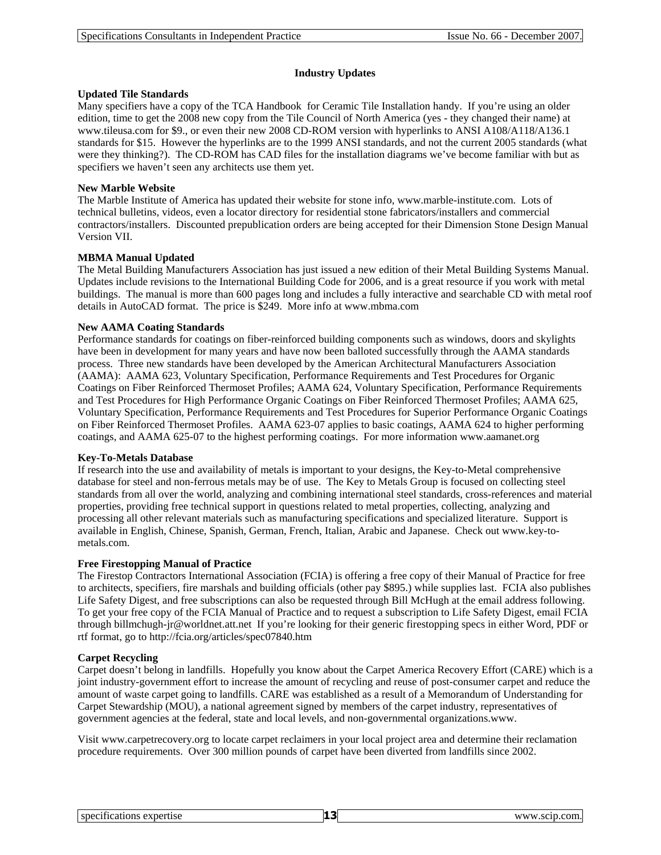## **Industry Updates**

## **Updated Tile Standards**

Many specifiers have a copy of the TCA Handbook for Ceramic Tile Installation handy. If you're using an older edition, time to get the 2008 new copy from the Tile Council of North America (yes - they changed their name) at www.tileusa.com for \$9., or even their new 2008 CD-ROM version with hyperlinks to ANSI A108/A118/A136.1 standards for \$15. However the hyperlinks are to the 1999 ANSI standards, and not the current 2005 standards (what were they thinking?). The CD-ROM has CAD files for the installation diagrams we've become familiar with but as specifiers we haven't seen any architects use them yet.

## **New Marble Website**

The Marble Institute of America has updated their website for stone info, www.marble-institute.com. Lots of technical bulletins, videos, even a locator directory for residential stone fabricators/installers and commercial contractors/installers. Discounted prepublication orders are being accepted for their Dimension Stone Design Manual Version VII.

### **MBMA Manual Updated**

The Metal Building Manufacturers Association has just issued a new edition of their Metal Building Systems Manual. Updates include revisions to the International Building Code for 2006, and is a great resource if you work with metal buildings. The manual is more than 600 pages long and includes a fully interactive and searchable CD with metal roof details in AutoCAD format. The price is \$249. More info at www.mbma.com

### **New AAMA Coating Standards**

Performance standards for coatings on fiber-reinforced building components such as windows, doors and skylights have been in development for many years and have now been balloted successfully through the AAMA standards process. Three new standards have been developed by the American Architectural Manufacturers Association (AAMA): AAMA 623, Voluntary Specification, Performance Requirements and Test Procedures for Organic Coatings on Fiber Reinforced Thermoset Profiles; AAMA 624, Voluntary Specification, Performance Requirements and Test Procedures for High Performance Organic Coatings on Fiber Reinforced Thermoset Profiles; AAMA 625, Voluntary Specification, Performance Requirements and Test Procedures for Superior Performance Organic Coatings on Fiber Reinforced Thermoset Profiles. AAMA 623-07 applies to basic coatings, AAMA 624 to higher performing coatings, and AAMA 625-07 to the highest performing coatings. For more information www.aamanet.org

#### **Key-To-Metals Database**

If research into the use and availability of metals is important to your designs, the Key-to-Metal comprehensive database for steel and non-ferrous metals may be of use. The Key to Metals Group is focused on collecting steel standards from all over the world, analyzing and combining international steel standards, cross-references and material properties, providing free technical support in questions related to metal properties, collecting, analyzing and processing all other relevant materials such as manufacturing specifications and specialized literature. Support is available in English, Chinese, Spanish, German, French, Italian, Arabic and Japanese. Check out www.key-tometals.com.

# **Free Firestopping Manual of Practice**

The Firestop Contractors International Association (FCIA) is offering a free copy of their Manual of Practice for free to architects, specifiers, fire marshals and building officials (other pay \$895.) while supplies last. FCIA also publishes Life Safety Digest, and free subscriptions can also be requested through Bill McHugh at the email address following. To get your free copy of the FCIA Manual of Practice and to request a subscription to Life Safety Digest, email FCIA through billmchugh-jr@worldnet.att.net If you're looking for their generic firestopping specs in either Word, PDF or rtf format, go to http://fcia.org/articles/spec07840.htm

#### **Carpet Recycling**

Carpet doesn't belong in landfills. Hopefully you know about the Carpet America Recovery Effort (CARE) which is a joint industry-government effort to increase the amount of recycling and reuse of post-consumer carpet and reduce the amount of waste carpet going to landfills. CARE was established as a result of a Memorandum of Understanding for Carpet Stewardship (MOU), a national agreement signed by members of the carpet industry, representatives of government agencies at the federal, state and local levels, and non-governmental organizations.www.

Visit www.carpetrecovery.org to locate carpet reclaimers in your local project area and determine their reclamation procedure requirements. Over 300 million pounds of carpet have been diverted from landfills since 2002.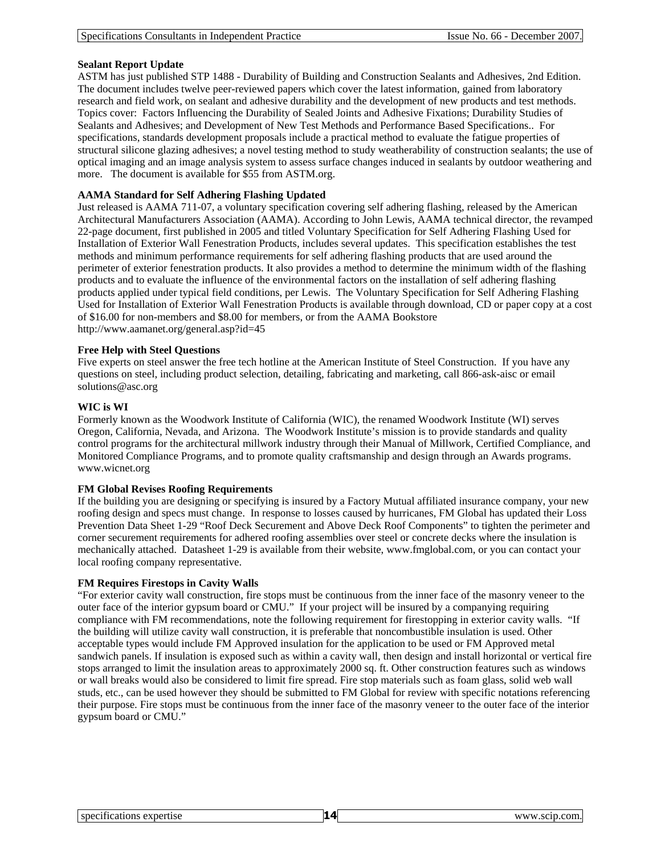## **Sealant Report Update**

ASTM has just published STP 1488 - Durability of Building and Construction Sealants and Adhesives, 2nd Edition. The document includes twelve peer-reviewed papers which cover the latest information, gained from laboratory research and field work, on sealant and adhesive durability and the development of new products and test methods. Topics cover: Factors Influencing the Durability of Sealed Joints and Adhesive Fixations; Durability Studies of Sealants and Adhesives; and Development of New Test Methods and Performance Based Specifications.. For specifications, standards development proposals include a practical method to evaluate the fatigue properties of structural silicone glazing adhesives; a novel testing method to study weatherability of construction sealants; the use of optical imaging and an image analysis system to assess surface changes induced in sealants by outdoor weathering and more. The document is available for \$55 from ASTM.org.

## **AAMA Standard for Self Adhering Flashing Updated**

Just released is AAMA 711-07, a voluntary specification covering self adhering flashing, released by the American Architectural Manufacturers Association (AAMA). According to John Lewis, AAMA technical director, the revamped 22-page document, first published in 2005 and titled Voluntary Specification for Self Adhering Flashing Used for Installation of Exterior Wall Fenestration Products, includes several updates. This specification establishes the test methods and minimum performance requirements for self adhering flashing products that are used around the perimeter of exterior fenestration products. It also provides a method to determine the minimum width of the flashing products and to evaluate the influence of the environmental factors on the installation of self adhering flashing products applied under typical field conditions, per Lewis. The Voluntary Specification for Self Adhering Flashing Used for Installation of Exterior Wall Fenestration Products is available through download, CD or paper copy at a cost of \$16.00 for non-members and \$8.00 for members, or from the AAMA Bookstore http://www.aamanet.org/general.asp?id=45

### **Free Help with Steel Questions**

Five experts on steel answer the free tech hotline at the American Institute of Steel Construction. If you have any questions on steel, including product selection, detailing, fabricating and marketing, call 866-ask-aisc or email solutions@asc.org

### **WIC is WI**

Formerly known as the Woodwork Institute of California (WIC), the renamed Woodwork Institute (WI) serves Oregon, California, Nevada, and Arizona. The Woodwork Institute's mission is to provide standards and quality control programs for the architectural millwork industry through their Manual of Millwork, Certified Compliance, and Monitored Compliance Programs, and to promote quality craftsmanship and design through an Awards programs. www.wicnet.org

# **FM Global Revises Roofing Requirements**

If the building you are designing or specifying is insured by a Factory Mutual affiliated insurance company, your new roofing design and specs must change. In response to losses caused by hurricanes, FM Global has updated their Loss Prevention Data Sheet 1-29 "Roof Deck Securement and Above Deck Roof Components" to tighten the perimeter and corner securement requirements for adhered roofing assemblies over steel or concrete decks where the insulation is mechanically attached. Datasheet 1-29 is available from their website, www.fmglobal.com, or you can contact your local roofing company representative.

#### **FM Requires Firestops in Cavity Walls**

"For exterior cavity wall construction, fire stops must be continuous from the inner face of the masonry veneer to the outer face of the interior gypsum board or CMU." If your project will be insured by a companying requiring compliance with FM recommendations, note the following requirement for firestopping in exterior cavity walls. "If the building will utilize cavity wall construction, it is preferable that noncombustible insulation is used. Other acceptable types would include FM Approved insulation for the application to be used or FM Approved metal sandwich panels. If insulation is exposed such as within a cavity wall, then design and install horizontal or vertical fire stops arranged to limit the insulation areas to approximately 2000 sq. ft. Other construction features such as windows or wall breaks would also be considered to limit fire spread. Fire stop materials such as foam glass, solid web wall studs, etc., can be used however they should be submitted to FM Global for review with specific notations referencing their purpose. Fire stops must be continuous from the inner face of the masonry veneer to the outer face of the interior gypsum board or CMU."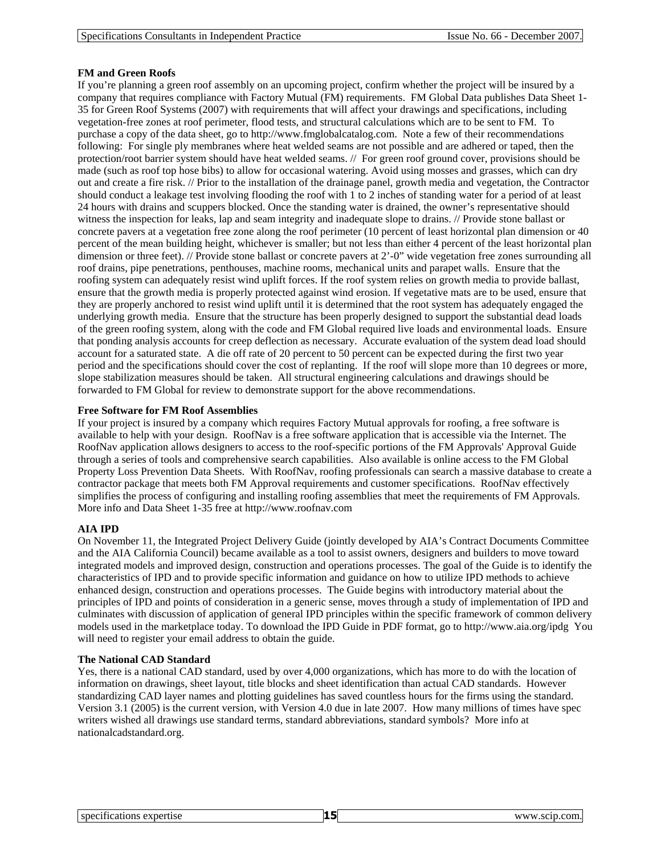# **FM and Green Roofs**

If you're planning a green roof assembly on an upcoming project, confirm whether the project will be insured by a company that requires compliance with Factory Mutual (FM) requirements. FM Global Data publishes Data Sheet 1- 35 for Green Roof Systems (2007) with requirements that will affect your drawings and specifications, including vegetation-free zones at roof perimeter, flood tests, and structural calculations which are to be sent to FM. To purchase a copy of the data sheet, go to http://www.fmglobalcatalog.com. Note a few of their recommendations following: For single ply membranes where heat welded seams are not possible and are adhered or taped, then the protection/root barrier system should have heat welded seams. // For green roof ground cover, provisions should be made (such as roof top hose bibs) to allow for occasional watering. Avoid using mosses and grasses, which can dry out and create a fire risk. // Prior to the installation of the drainage panel, growth media and vegetation, the Contractor should conduct a leakage test involving flooding the roof with 1 to 2 inches of standing water for a period of at least 24 hours with drains and scuppers blocked. Once the standing water is drained, the owner's representative should witness the inspection for leaks, lap and seam integrity and inadequate slope to drains. // Provide stone ballast or concrete pavers at a vegetation free zone along the roof perimeter (10 percent of least horizontal plan dimension or 40 percent of the mean building height, whichever is smaller; but not less than either 4 percent of the least horizontal plan dimension or three feet). // Provide stone ballast or concrete pavers at 2'-0" wide vegetation free zones surrounding all roof drains, pipe penetrations, penthouses, machine rooms, mechanical units and parapet walls. Ensure that the roofing system can adequately resist wind uplift forces. If the roof system relies on growth media to provide ballast, ensure that the growth media is properly protected against wind erosion. If vegetative mats are to be used, ensure that they are properly anchored to resist wind uplift until it is determined that the root system has adequately engaged the underlying growth media. Ensure that the structure has been properly designed to support the substantial dead loads of the green roofing system, along with the code and FM Global required live loads and environmental loads. Ensure that ponding analysis accounts for creep deflection as necessary. Accurate evaluation of the system dead load should account for a saturated state. A die off rate of 20 percent to 50 percent can be expected during the first two year period and the specifications should cover the cost of replanting. If the roof will slope more than 10 degrees or more, slope stabilization measures should be taken. All structural engineering calculations and drawings should be forwarded to FM Global for review to demonstrate support for the above recommendations.

# **Free Software for FM Roof Assemblies**

If your project is insured by a company which requires Factory Mutual approvals for roofing, a free software is available to help with your design. RoofNav is a free software application that is accessible via the Internet. The RoofNav application allows designers to access to the roof-specific portions of the FM Approvals' Approval Guide through a series of tools and comprehensive search capabilities. Also available is online access to the FM Global Property Loss Prevention Data Sheets. With RoofNav, roofing professionals can search a massive database to create a contractor package that meets both FM Approval requirements and customer specifications. RoofNav effectively simplifies the process of configuring and installing roofing assemblies that meet the requirements of FM Approvals. More info and Data Sheet 1-35 free at http://www.roofnav.com

# **AIA IPD**

On November 11, the Integrated Project Delivery Guide (jointly developed by AIA's Contract Documents Committee and the AIA California Council) became available as a tool to assist owners, designers and builders to move toward integrated models and improved design, construction and operations processes. The goal of the Guide is to identify the characteristics of IPD and to provide specific information and guidance on how to utilize IPD methods to achieve enhanced design, construction and operations processes. The Guide begins with introductory material about the principles of IPD and points of consideration in a generic sense, moves through a study of implementation of IPD and culminates with discussion of application of general IPD principles within the specific framework of common delivery models used in the marketplace today. To download the IPD Guide in PDF format, go to http://www.aia.org/ipdg You will need to register your email address to obtain the guide.

# **The National CAD Standard**

Yes, there is a national CAD standard, used by over 4,000 organizations, which has more to do with the location of information on drawings, sheet layout, title blocks and sheet identification than actual CAD standards. However standardizing CAD layer names and plotting guidelines has saved countless hours for the firms using the standard. Version 3.1 (2005) is the current version, with Version 4.0 due in late 2007. How many millions of times have spec writers wished all drawings use standard terms, standard abbreviations, standard symbols? More info at nationalcadstandard.org.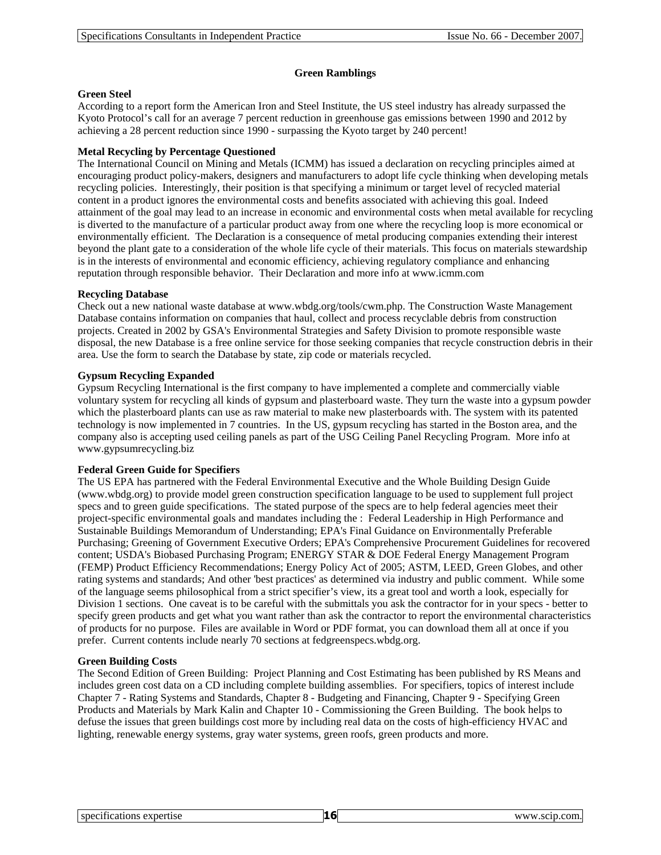## **Green Ramblings**

## **Green Steel**

According to a report form the American Iron and Steel Institute, the US steel industry has already surpassed the Kyoto Protocol's call for an average 7 percent reduction in greenhouse gas emissions between 1990 and 2012 by achieving a 28 percent reduction since 1990 - surpassing the Kyoto target by 240 percent!

# **Metal Recycling by Percentage Questioned**

The International Council on Mining and Metals (ICMM) has issued a declaration on recycling principles aimed at encouraging product policy-makers, designers and manufacturers to adopt life cycle thinking when developing metals recycling policies. Interestingly, their position is that specifying a minimum or target level of recycled material content in a product ignores the environmental costs and benefits associated with achieving this goal. Indeed attainment of the goal may lead to an increase in economic and environmental costs when metal available for recycling is diverted to the manufacture of a particular product away from one where the recycling loop is more economical or environmentally efficient. The Declaration is a consequence of metal producing companies extending their interest beyond the plant gate to a consideration of the whole life cycle of their materials. This focus on materials stewardship is in the interests of environmental and economic efficiency, achieving regulatory compliance and enhancing reputation through responsible behavior. Their Declaration and more info at www.icmm.com

### **Recycling Database**

Check out a new national waste database at www.wbdg.org/tools/cwm.php. The Construction Waste Management Database contains information on companies that haul, collect and process recyclable debris from construction projects. Created in 2002 by GSA's Environmental Strategies and Safety Division to promote responsible waste disposal, the new Database is a free online service for those seeking companies that recycle construction debris in their area. Use the form to search the Database by state, zip code or materials recycled.

### **Gypsum Recycling Expanded**

Gypsum Recycling International is the first company to have implemented a complete and commercially viable voluntary system for recycling all kinds of gypsum and plasterboard waste. They turn the waste into a gypsum powder which the plasterboard plants can use as raw material to make new plasterboards with. The system with its patented technology is now implemented in 7 countries. In the US, gypsum recycling has started in the Boston area, and the company also is accepting used ceiling panels as part of the USG Ceiling Panel Recycling Program. More info at www.gypsumrecycling.biz

# **Federal Green Guide for Specifiers**

The US EPA has partnered with the Federal Environmental Executive and the Whole Building Design Guide (www.wbdg.org) to provide model green construction specification language to be used to supplement full project specs and to green guide specifications. The stated purpose of the specs are to help federal agencies meet their project-specific environmental goals and mandates including the : Federal Leadership in High Performance and Sustainable Buildings Memorandum of Understanding; EPA's Final Guidance on Environmentally Preferable Purchasing; Greening of Government Executive Orders; EPA's Comprehensive Procurement Guidelines for recovered content; USDA's Biobased Purchasing Program; ENERGY STAR & DOE Federal Energy Management Program (FEMP) Product Efficiency Recommendations; Energy Policy Act of 2005; ASTM, LEED, Green Globes, and other rating systems and standards; And other 'best practices' as determined via industry and public comment. While some of the language seems philosophical from a strict specifier's view, its a great tool and worth a look, especially for Division 1 sections. One caveat is to be careful with the submittals you ask the contractor for in your specs - better to specify green products and get what you want rather than ask the contractor to report the environmental characteristics of products for no purpose. Files are available in Word or PDF format, you can download them all at once if you prefer. Current contents include nearly 70 sections at fedgreenspecs.wbdg.org.

# **Green Building Costs**

The Second Edition of Green Building: Project Planning and Cost Estimating has been published by RS Means and includes green cost data on a CD including complete building assemblies. For specifiers, topics of interest include Chapter 7 - Rating Systems and Standards, Chapter 8 - Budgeting and Financing, Chapter 9 - Specifying Green Products and Materials by Mark Kalin and Chapter 10 - Commissioning the Green Building. The book helps to defuse the issues that green buildings cost more by including real data on the costs of high-efficiency HVAC and lighting, renewable energy systems, gray water systems, green roofs, green products and more.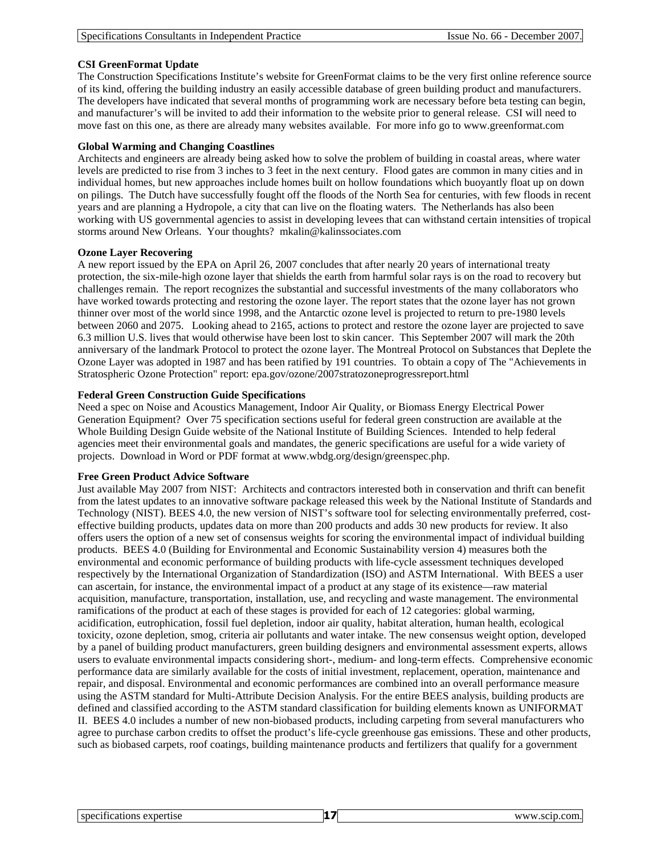# **CSI GreenFormat Update**

The Construction Specifications Institute's website for GreenFormat claims to be the very first online reference source of its kind, offering the building industry an easily accessible database of green building product and manufacturers. The developers have indicated that several months of programming work are necessary before beta testing can begin, and manufacturer's will be invited to add their information to the website prior to general release. CSI will need to move fast on this one, as there are already many websites available. For more info go to www.greenformat.com

# **Global Warming and Changing Coastlines**

Architects and engineers are already being asked how to solve the problem of building in coastal areas, where water levels are predicted to rise from 3 inches to 3 feet in the next century. Flood gates are common in many cities and in individual homes, but new approaches include homes built on hollow foundations which buoyantly float up on down on pilings. The Dutch have successfully fought off the floods of the North Sea for centuries, with few floods in recent years and are planning a Hydropole, a city that can live on the floating waters. The Netherlands has also been working with US governmental agencies to assist in developing levees that can withstand certain intensities of tropical storms around New Orleans. Your thoughts? mkalin@kalinssociates.com

# **Ozone Layer Recovering**

A new report issued by the EPA on April 26, 2007 concludes that after nearly 20 years of international treaty protection, the six-mile-high ozone layer that shields the earth from harmful solar rays is on the road to recovery but challenges remain. The report recognizes the substantial and successful investments of the many collaborators who have worked towards protecting and restoring the ozone layer. The report states that the ozone layer has not grown thinner over most of the world since 1998, and the Antarctic ozone level is projected to return to pre-1980 levels between 2060 and 2075. Looking ahead to 2165, actions to protect and restore the ozone layer are projected to save 6.3 million U.S. lives that would otherwise have been lost to skin cancer. This September 2007 will mark the 20th anniversary of the landmark Protocol to protect the ozone layer. The Montreal Protocol on Substances that Deplete the Ozone Layer was adopted in 1987 and has been ratified by 191 countries. To obtain a copy of The "Achievements in Stratospheric Ozone Protection" report: epa.gov/ozone/2007stratozoneprogressreport.html

# **Federal Green Construction Guide Specifications**

Need a spec on Noise and Acoustics Management, Indoor Air Quality, or Biomass Energy Electrical Power Generation Equipment? Over 75 specification sections useful for federal green construction are available at the Whole Building Design Guide website of the National Institute of Building Sciences. Intended to help federal agencies meet their environmental goals and mandates, the generic specifications are useful for a wide variety of projects. Download in Word or PDF format at www.wbdg.org/design/greenspec.php.

#### **Free Green Product Advice Software**

Just available May 2007 from NIST: Architects and contractors interested both in conservation and thrift can benefit from the latest updates to an innovative software package released this week by the National Institute of Standards and Technology (NIST). BEES 4.0, the new version of NIST's software tool for selecting environmentally preferred, costeffective building products, updates data on more than 200 products and adds 30 new products for review. It also offers users the option of a new set of consensus weights for scoring the environmental impact of individual building products. BEES 4.0 (Building for Environmental and Economic Sustainability version 4) measures both the environmental and economic performance of building products with life-cycle assessment techniques developed respectively by the International Organization of Standardization (ISO) and ASTM International. With BEES a user can ascertain, for instance, the environmental impact of a product at any stage of its existence—raw material acquisition, manufacture, transportation, installation, use, and recycling and waste management. The environmental ramifications of the product at each of these stages is provided for each of 12 categories: global warming, acidification, eutrophication, fossil fuel depletion, indoor air quality, habitat alteration, human health, ecological toxicity, ozone depletion, smog, criteria air pollutants and water intake. The new consensus weight option, developed by a panel of building product manufacturers, green building designers and environmental assessment experts, allows users to evaluate environmental impacts considering short-, medium- and long-term effects. Comprehensive economic performance data are similarly available for the costs of initial investment, replacement, operation, maintenance and repair, and disposal. Environmental and economic performances are combined into an overall performance measure using the ASTM standard for Multi-Attribute Decision Analysis. For the entire BEES analysis, building products are defined and classified according to the ASTM standard classification for building elements known as UNIFORMAT II. BEES 4.0 includes a number of new non-biobased products, including carpeting from several manufacturers who agree to purchase carbon credits to offset the product's life-cycle greenhouse gas emissions. These and other products, such as biobased carpets, roof coatings, building maintenance products and fertilizers that qualify for a government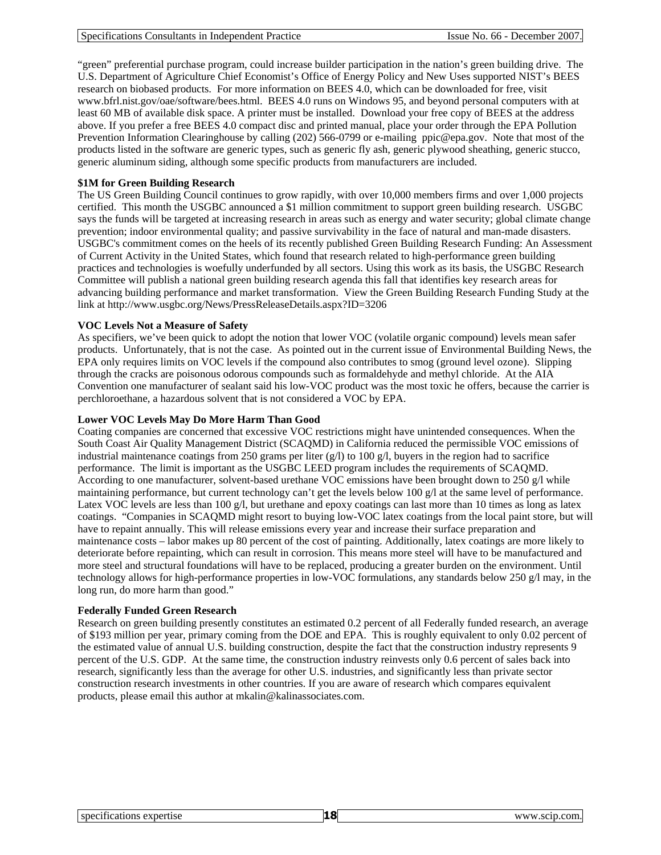"green" preferential purchase program, could increase builder participation in the nation's green building drive. The U.S. Department of Agriculture Chief Economist's Office of Energy Policy and New Uses supported NIST's BEES research on biobased products. For more information on BEES 4.0, which can be downloaded for free, visit www.bfrl.nist.gov/oae/software/bees.html. BEES 4.0 runs on Windows 95, and beyond personal computers with at least 60 MB of available disk space. A printer must be installed. Download your free copy of BEES at the address above. If you prefer a free BEES 4.0 compact disc and printed manual, place your order through the EPA Pollution Prevention Information Clearinghouse by calling (202) 566-0799 or e-mailing ppic@epa.gov. Note that most of the products listed in the software are generic types, such as generic fly ash, generic plywood sheathing, generic stucco, generic aluminum siding, although some specific products from manufacturers are included.

# **\$1M for Green Building Research**

The US Green Building Council continues to grow rapidly, with over 10,000 members firms and over 1,000 projects certified. This month the USGBC announced a \$1 million commitment to support green building research. USGBC says the funds will be targeted at increasing research in areas such as energy and water security; global climate change prevention; indoor environmental quality; and passive survivability in the face of natural and man-made disasters. USGBC's commitment comes on the heels of its recently published Green Building Research Funding: An Assessment of Current Activity in the United States, which found that research related to high-performance green building practices and technologies is woefully underfunded by all sectors. Using this work as its basis, the USGBC Research Committee will publish a national green building research agenda this fall that identifies key research areas for advancing building performance and market transformation. View the Green Building Research Funding Study at the link at http://www.usgbc.org/News/PressReleaseDetails.aspx?ID=3206

# **VOC Levels Not a Measure of Safety**

As specifiers, we've been quick to adopt the notion that lower VOC (volatile organic compound) levels mean safer products. Unfortunately, that is not the case. As pointed out in the current issue of Environmental Building News, the EPA only requires limits on VOC levels if the compound also contributes to smog (ground level ozone). Slipping through the cracks are poisonous odorous compounds such as formaldehyde and methyl chloride. At the AIA Convention one manufacturer of sealant said his low-VOC product was the most toxic he offers, because the carrier is perchloroethane, a hazardous solvent that is not considered a VOC by EPA.

# **Lower VOC Levels May Do More Harm Than Good**

Coating companies are concerned that excessive VOC restrictions might have unintended consequences. When the South Coast Air Quality Management District (SCAQMD) in California reduced the permissible VOC emissions of industrial maintenance coatings from 250 grams per liter (g/l) to 100 g/l, buyers in the region had to sacrifice performance. The limit is important as the USGBC LEED program includes the requirements of SCAQMD. According to one manufacturer, solvent-based urethane VOC emissions have been brought down to 250 g/l while maintaining performance, but current technology can't get the levels below 100 g/l at the same level of performance. Latex VOC levels are less than 100 g/l, but urethane and epoxy coatings can last more than 10 times as long as latex coatings. "Companies in SCAQMD might resort to buying low-VOC latex coatings from the local paint store, but will have to repaint annually. This will release emissions every year and increase their surface preparation and maintenance costs – labor makes up 80 percent of the cost of painting. Additionally, latex coatings are more likely to deteriorate before repainting, which can result in corrosion. This means more steel will have to be manufactured and more steel and structural foundations will have to be replaced, producing a greater burden on the environment. Until technology allows for high-performance properties in low-VOC formulations, any standards below 250 g/l may, in the long run, do more harm than good."

# **Federally Funded Green Research**

Research on green building presently constitutes an estimated 0.2 percent of all Federally funded research, an average of \$193 million per year, primary coming from the DOE and EPA. This is roughly equivalent to only 0.02 percent of the estimated value of annual U.S. building construction, despite the fact that the construction industry represents 9 percent of the U.S. GDP. At the same time, the construction industry reinvests only 0.6 percent of sales back into research, significantly less than the average for other U.S. industries, and significantly less than private sector construction research investments in other countries. If you are aware of research which compares equivalent products, please email this author at mkalin@kalinassociates.com.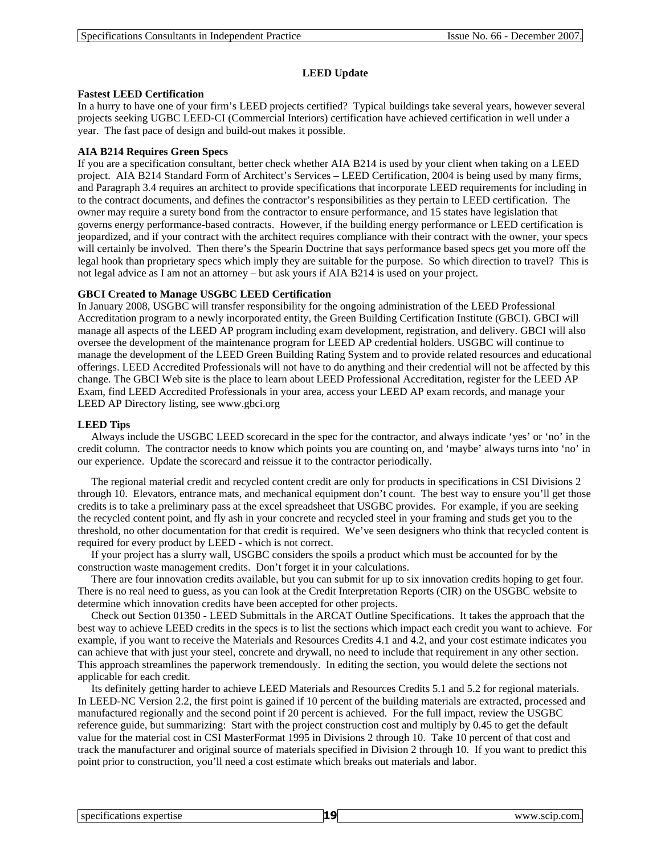# **LEED Update**

# **Fastest LEED Certification**

In a hurry to have one of your firm's LEED projects certified? Typical buildings take several years, however several projects seeking UGBC LEED-CI (Commercial Interiors) certification have achieved certification in well under a year. The fast pace of design and build-out makes it possible.

## **AIA B214 Requires Green Specs**

If you are a specification consultant, better check whether AIA B214 is used by your client when taking on a LEED project. AIA B214 Standard Form of Architect's Services – LEED Certification, 2004 is being used by many firms, and Paragraph 3.4 requires an architect to provide specifications that incorporate LEED requirements for including in to the contract documents, and defines the contractor's responsibilities as they pertain to LEED certification. The owner may require a surety bond from the contractor to ensure performance, and 15 states have legislation that governs energy performance-based contracts. However, if the building energy performance or LEED certification is jeopardized, and if your contract with the architect requires compliance with their contract with the owner, your specs will certainly be involved. Then there's the Spearin Doctrine that says performance based specs get you more off the legal hook than proprietary specs which imply they are suitable for the purpose. So which direction to travel? This is not legal advice as I am not an attorney – but ask yours if AIA B214 is used on your project.

# **GBCI Created to Manage USGBC LEED Certification**

In January 2008, USGBC will transfer responsibility for the ongoing administration of the LEED Professional Accreditation program to a newly incorporated entity, the Green Building Certification Institute (GBCI). GBCI will manage all aspects of the LEED AP program including exam development, registration, and delivery. GBCI will also oversee the development of the maintenance program for LEED AP credential holders. USGBC will continue to manage the development of the LEED Green Building Rating System and to provide related resources and educational offerings. LEED Accredited Professionals will not have to do anything and their credential will not be affected by this change. The GBCI Web site is the place to learn about LEED Professional Accreditation, register for the LEED AP Exam, find LEED Accredited Professionals in your area, access your LEED AP exam records, and manage your LEED AP Directory listing, see www.gbci.org

### **LEED Tips**

 Always include the USGBC LEED scorecard in the spec for the contractor, and always indicate 'yes' or 'no' in the credit column. The contractor needs to know which points you are counting on, and 'maybe' always turns into 'no' in our experience. Update the scorecard and reissue it to the contractor periodically.

 The regional material credit and recycled content credit are only for products in specifications in CSI Divisions 2 through 10. Elevators, entrance mats, and mechanical equipment don't count. The best way to ensure you'll get those credits is to take a preliminary pass at the excel spreadsheet that USGBC provides. For example, if you are seeking the recycled content point, and fly ash in your concrete and recycled steel in your framing and studs get you to the threshold, no other documentation for that credit is required. We've seen designers who think that recycled content is required for every product by LEED - which is not correct.

 If your project has a slurry wall, USGBC considers the spoils a product which must be accounted for by the construction waste management credits. Don't forget it in your calculations.

 There are four innovation credits available, but you can submit for up to six innovation credits hoping to get four. There is no real need to guess, as you can look at the Credit Interpretation Reports (CIR) on the USGBC website to determine which innovation credits have been accepted for other projects.

 Check out Section 01350 - LEED Submittals in the ARCAT Outline Specifications. It takes the approach that the best way to achieve LEED credits in the specs is to list the sections which impact each credit you want to achieve. For example, if you want to receive the Materials and Resources Credits 4.1 and 4.2, and your cost estimate indicates you can achieve that with just your steel, concrete and drywall, no need to include that requirement in any other section. This approach streamlines the paperwork tremendously. In editing the section, you would delete the sections not applicable for each credit.

 Its definitely getting harder to achieve LEED Materials and Resources Credits 5.1 and 5.2 for regional materials. In LEED-NC Version 2.2, the first point is gained if 10 percent of the building materials are extracted, processed and manufactured regionally and the second point if 20 percent is achieved. For the full impact, review the USGBC reference guide, but summarizing: Start with the project construction cost and multiply by 0.45 to get the default value for the material cost in CSI MasterFormat 1995 in Divisions 2 through 10. Take 10 percent of that cost and track the manufacturer and original source of materials specified in Division 2 through 10. If you want to predict this point prior to construction, you'll need a cost estimate which breaks out materials and labor.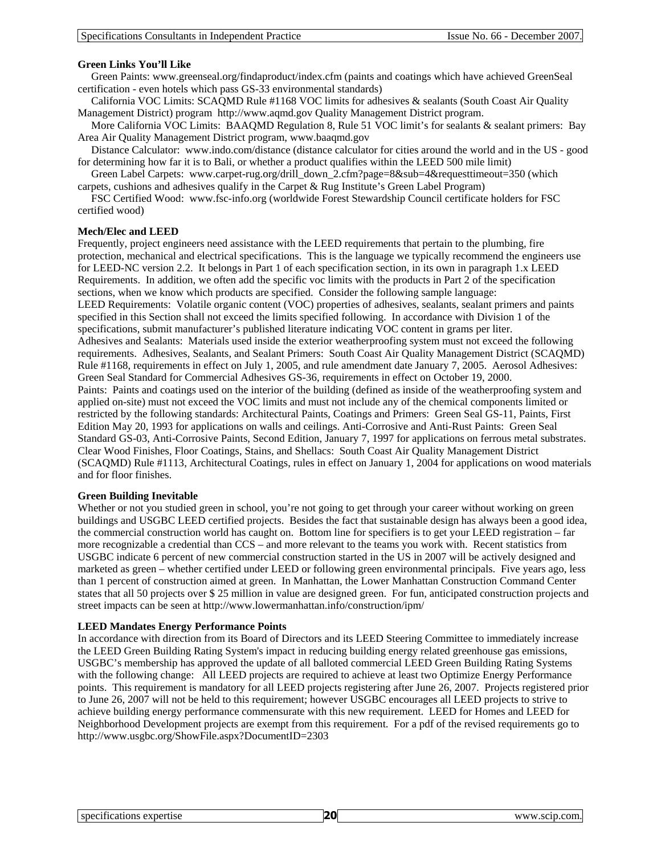## **Green Links You'll Like**

 Green Paints: www.greenseal.org/findaproduct/index.cfm (paints and coatings which have achieved GreenSeal certification - even hotels which pass GS-33 environmental standards)

 California VOC Limits: SCAQMD Rule #1168 VOC limits for adhesives & sealants (South Coast Air Quality Management District) program http://www.aqmd.gov Quality Management District program.

More California VOC Limits: BAAQMD Regulation 8, Rule 51 VOC limit's for sealants & sealant primers: Bay Area Air Quality Management District program, www.baaqmd.gov

 Distance Calculator: www.indo.com/distance (distance calculator for cities around the world and in the US - good for determining how far it is to Bali, or whether a product qualifies within the LEED 500 mile limit)

Green Label Carpets: www.carpet-rug.org/drill\_down\_2.cfm?page=8&sub=4&requesttimeout=350 (which carpets, cushions and adhesives qualify in the Carpet & Rug Institute's Green Label Program)

 FSC Certified Wood: www.fsc-info.org (worldwide Forest Stewardship Council certificate holders for FSC certified wood)

#### **Mech/Elec and LEED**

Frequently, project engineers need assistance with the LEED requirements that pertain to the plumbing, fire protection, mechanical and electrical specifications. This is the language we typically recommend the engineers use for LEED-NC version 2.2. It belongs in Part 1 of each specification section, in its own in paragraph 1.x LEED Requirements. In addition, we often add the specific voc limits with the products in Part 2 of the specification sections, when we know which products are specified. Consider the following sample language: LEED Requirements: Volatile organic content (VOC) properties of adhesives, sealants, sealant primers and paints specified in this Section shall not exceed the limits specified following. In accordance with Division 1 of the specifications, submit manufacturer's published literature indicating VOC content in grams per liter. Adhesives and Sealants: Materials used inside the exterior weatherproofing system must not exceed the following requirements. Adhesives, Sealants, and Sealant Primers: South Coast Air Quality Management District (SCAQMD) Rule #1168, requirements in effect on July 1, 2005, and rule amendment date January 7, 2005. Aerosol Adhesives: Green Seal Standard for Commercial Adhesives GS-36, requirements in effect on October 19, 2000. Paints: Paints and coatings used on the interior of the building (defined as inside of the weatherproofing system and applied on-site) must not exceed the VOC limits and must not include any of the chemical components limited or restricted by the following standards: Architectural Paints, Coatings and Primers: Green Seal GS-11, Paints, First Edition May 20, 1993 for applications on walls and ceilings. Anti-Corrosive and Anti-Rust Paints: Green Seal Standard GS-03, Anti-Corrosive Paints, Second Edition, January 7, 1997 for applications on ferrous metal substrates. Clear Wood Finishes, Floor Coatings, Stains, and Shellacs: South Coast Air Quality Management District (SCAQMD) Rule #1113, Architectural Coatings, rules in effect on January 1, 2004 for applications on wood materials and for floor finishes.

# **Green Building Inevitable**

Whether or not you studied green in school, you're not going to get through your career without working on green buildings and USGBC LEED certified projects. Besides the fact that sustainable design has always been a good idea, the commercial construction world has caught on. Bottom line for specifiers is to get your LEED registration – far more recognizable a credential than CCS – and more relevant to the teams you work with. Recent statistics from USGBC indicate 6 percent of new commercial construction started in the US in 2007 will be actively designed and marketed as green – whether certified under LEED or following green environmental principals. Five years ago, less than 1 percent of construction aimed at green. In Manhattan, the Lower Manhattan Construction Command Center states that all 50 projects over \$ 25 million in value are designed green. For fun, anticipated construction projects and street impacts can be seen at http://www.lowermanhattan.info/construction/ipm/

# **LEED Mandates Energy Performance Points**

In accordance with direction from its Board of Directors and its LEED Steering Committee to immediately increase the LEED Green Building Rating System's impact in reducing building energy related greenhouse gas emissions, USGBC's membership has approved the update of all balloted commercial LEED Green Building Rating Systems with the following change: All LEED projects are required to achieve at least two Optimize Energy Performance points. This requirement is mandatory for all LEED projects registering after June 26, 2007. Projects registered prior to June 26, 2007 will not be held to this requirement; however USGBC encourages all LEED projects to strive to achieve building energy performance commensurate with this new requirement. LEED for Homes and LEED for Neighborhood Development projects are exempt from this requirement. For a pdf of the revised requirements go to http://www.usgbc.org/ShowFile.aspx?DocumentID=2303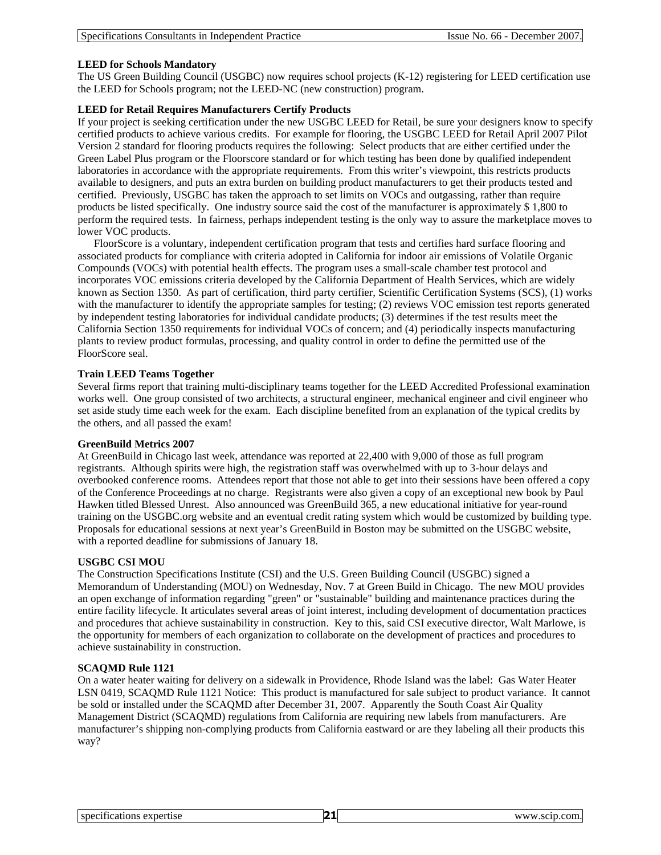# **LEED for Schools Mandatory**

The US Green Building Council (USGBC) now requires school projects (K-12) registering for LEED certification use the LEED for Schools program; not the LEED-NC (new construction) program.

## **LEED for Retail Requires Manufacturers Certify Products**

If your project is seeking certification under the new USGBC LEED for Retail, be sure your designers know to specify certified products to achieve various credits. For example for flooring, the USGBC LEED for Retail April 2007 Pilot Version 2 standard for flooring products requires the following: Select products that are either certified under the Green Label Plus program or the Floorscore standard or for which testing has been done by qualified independent laboratories in accordance with the appropriate requirements. From this writer's viewpoint, this restricts products available to designers, and puts an extra burden on building product manufacturers to get their products tested and certified. Previously, USGBC has taken the approach to set limits on VOCs and outgassing, rather than require products be listed specifically. One industry source said the cost of the manufacturer is approximately \$ 1,800 to perform the required tests. In fairness, perhaps independent testing is the only way to assure the marketplace moves to lower VOC products.

 FloorScore is a voluntary, independent certification program that tests and certifies hard surface flooring and associated products for compliance with criteria adopted in California for indoor air emissions of Volatile Organic Compounds (VOCs) with potential health effects. The program uses a small-scale chamber test protocol and incorporates VOC emissions criteria developed by the California Department of Health Services, which are widely known as Section 1350. As part of certification, third party certifier, Scientific Certification Systems (SCS), (1) works with the manufacturer to identify the appropriate samples for testing; (2) reviews VOC emission test reports generated by independent testing laboratories for individual candidate products; (3) determines if the test results meet the California Section 1350 requirements for individual VOCs of concern; and (4) periodically inspects manufacturing plants to review product formulas, processing, and quality control in order to define the permitted use of the FloorScore seal.

### **Train LEED Teams Together**

Several firms report that training multi-disciplinary teams together for the LEED Accredited Professional examination works well. One group consisted of two architects, a structural engineer, mechanical engineer and civil engineer who set aside study time each week for the exam. Each discipline benefited from an explanation of the typical credits by the others, and all passed the exam!

#### **GreenBuild Metrics 2007**

At GreenBuild in Chicago last week, attendance was reported at 22,400 with 9,000 of those as full program registrants. Although spirits were high, the registration staff was overwhelmed with up to 3-hour delays and overbooked conference rooms. Attendees report that those not able to get into their sessions have been offered a copy of the Conference Proceedings at no charge. Registrants were also given a copy of an exceptional new book by Paul Hawken titled Blessed Unrest. Also announced was GreenBuild 365, a new educational initiative for year-round training on the USGBC.org website and an eventual credit rating system which would be customized by building type. Proposals for educational sessions at next year's GreenBuild in Boston may be submitted on the USGBC website, with a reported deadline for submissions of January 18.

#### **USGBC CSI MOU**

The Construction Specifications Institute (CSI) and the U.S. Green Building Council (USGBC) signed a Memorandum of Understanding (MOU) on Wednesday, Nov. 7 at Green Build in Chicago. The new MOU provides an open exchange of information regarding "green" or "sustainable" building and maintenance practices during the entire facility lifecycle. It articulates several areas of joint interest, including development of documentation practices and procedures that achieve sustainability in construction. Key to this, said CSI executive director, Walt Marlowe, is the opportunity for members of each organization to collaborate on the development of practices and procedures to achieve sustainability in construction.

# **SCAQMD Rule 1121**

On a water heater waiting for delivery on a sidewalk in Providence, Rhode Island was the label: Gas Water Heater LSN 0419, SCAQMD Rule 1121 Notice: This product is manufactured for sale subject to product variance. It cannot be sold or installed under the SCAQMD after December 31, 2007. Apparently the South Coast Air Quality Management District (SCAQMD) regulations from California are requiring new labels from manufacturers. Are manufacturer's shipping non-complying products from California eastward or are they labeling all their products this way?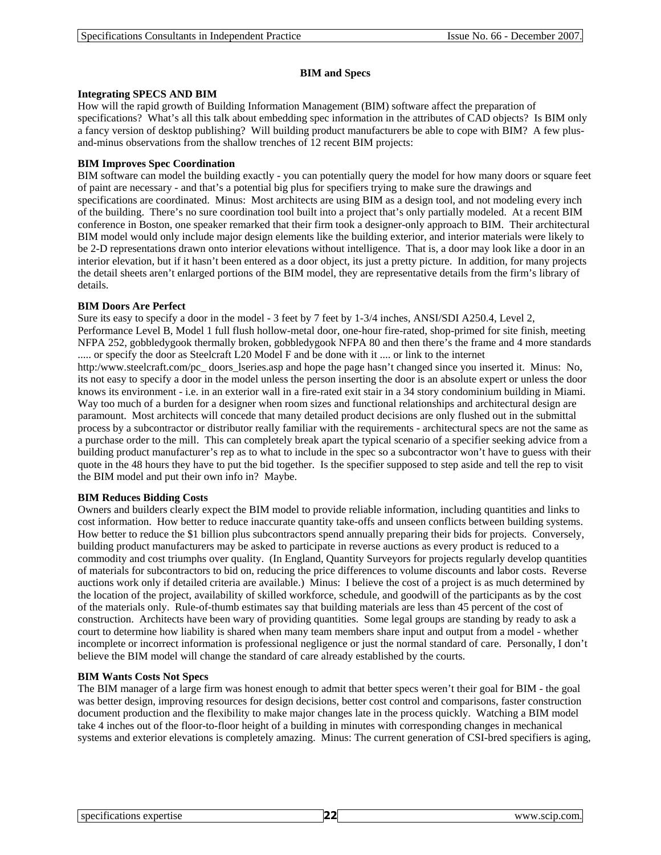# **BIM and Specs**

# **Integrating SPECS AND BIM**

How will the rapid growth of Building Information Management (BIM) software affect the preparation of specifications? What's all this talk about embedding spec information in the attributes of CAD objects? Is BIM only a fancy version of desktop publishing? Will building product manufacturers be able to cope with BIM? A few plusand-minus observations from the shallow trenches of 12 recent BIM projects:

# **BIM Improves Spec Coordination**

BIM software can model the building exactly - you can potentially query the model for how many doors or square feet of paint are necessary - and that's a potential big plus for specifiers trying to make sure the drawings and specifications are coordinated. Minus: Most architects are using BIM as a design tool, and not modeling every inch of the building. There's no sure coordination tool built into a project that's only partially modeled. At a recent BIM conference in Boston, one speaker remarked that their firm took a designer-only approach to BIM. Their architectural BIM model would only include major design elements like the building exterior, and interior materials were likely to be 2-D representations drawn onto interior elevations without intelligence. That is, a door may look like a door in an interior elevation, but if it hasn't been entered as a door object, its just a pretty picture. In addition, for many projects the detail sheets aren't enlarged portions of the BIM model, they are representative details from the firm's library of details.

### **BIM Doors Are Perfect**

Sure its easy to specify a door in the model - 3 feet by 7 feet by 1-3/4 inches, ANSI/SDI A250.4, Level 2, Performance Level B, Model 1 full flush hollow-metal door, one-hour fire-rated, shop-primed for site finish, meeting NFPA 252, gobbledygook thermally broken, gobbledygook NFPA 80 and then there's the frame and 4 more standards ..... or specify the door as Steelcraft L20 Model F and be done with it .... or link to the internet http:/www.steelcraft.com/pc\_ doors\_lseries.asp and hope the page hasn't changed since you inserted it. Minus: No, its not easy to specify a door in the model unless the person inserting the door is an absolute expert or unless the door

knows its environment - i.e. in an exterior wall in a fire-rated exit stair in a 34 story condominium building in Miami. Way too much of a burden for a designer when room sizes and functional relationships and architectural design are paramount. Most architects will concede that many detailed product decisions are only flushed out in the submittal process by a subcontractor or distributor really familiar with the requirements - architectural specs are not the same as a purchase order to the mill. This can completely break apart the typical scenario of a specifier seeking advice from a building product manufacturer's rep as to what to include in the spec so a subcontractor won't have to guess with their quote in the 48 hours they have to put the bid together. Is the specifier supposed to step aside and tell the rep to visit the BIM model and put their own info in? Maybe.

#### **BIM Reduces Bidding Costs**

Owners and builders clearly expect the BIM model to provide reliable information, including quantities and links to cost information. How better to reduce inaccurate quantity take-offs and unseen conflicts between building systems. How better to reduce the \$1 billion plus subcontractors spend annually preparing their bids for projects. Conversely, building product manufacturers may be asked to participate in reverse auctions as every product is reduced to a commodity and cost triumphs over quality. (In England, Quantity Surveyors for projects regularly develop quantities of materials for subcontractors to bid on, reducing the price differences to volume discounts and labor costs. Reverse auctions work only if detailed criteria are available.) Minus: I believe the cost of a project is as much determined by the location of the project, availability of skilled workforce, schedule, and goodwill of the participants as by the cost of the materials only. Rule-of-thumb estimates say that building materials are less than 45 percent of the cost of construction. Architects have been wary of providing quantities. Some legal groups are standing by ready to ask a court to determine how liability is shared when many team members share input and output from a model - whether incomplete or incorrect information is professional negligence or just the normal standard of care. Personally, I don't believe the BIM model will change the standard of care already established by the courts.

# **BIM Wants Costs Not Specs**

The BIM manager of a large firm was honest enough to admit that better specs weren't their goal for BIM - the goal was better design, improving resources for design decisions, better cost control and comparisons, faster construction document production and the flexibility to make major changes late in the process quickly. Watching a BIM model take 4 inches out of the floor-to-floor height of a building in minutes with corresponding changes in mechanical systems and exterior elevations is completely amazing. Minus: The current generation of CSI-bred specifiers is aging,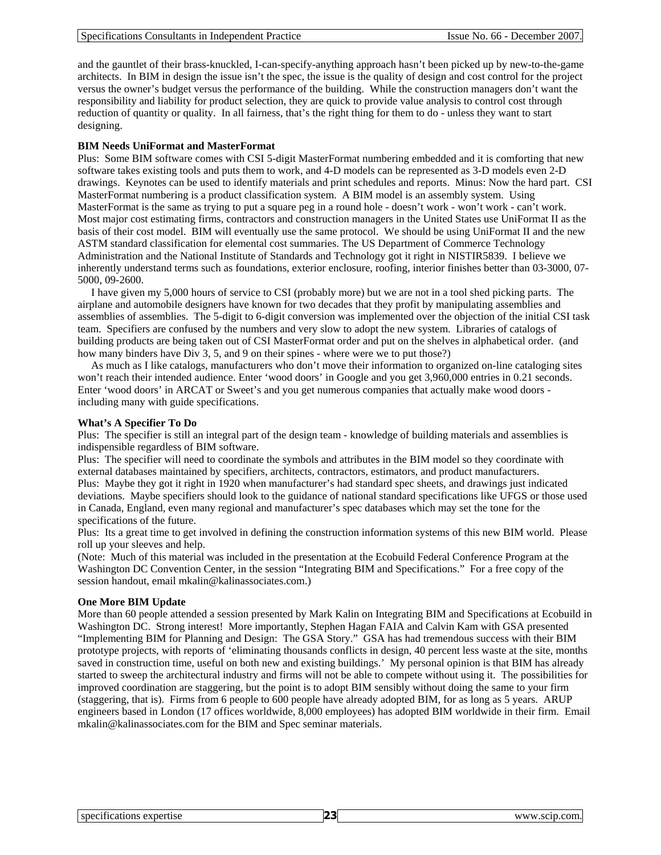| Specifications Consultants in Independent Practice<br>Issue No. 66 - December 2007. |
|-------------------------------------------------------------------------------------|
|-------------------------------------------------------------------------------------|

and the gauntlet of their brass-knuckled, I-can-specify-anything approach hasn't been picked up by new-to-the-game architects. In BIM in design the issue isn't the spec, the issue is the quality of design and cost control for the project versus the owner's budget versus the performance of the building. While the construction managers don't want the responsibility and liability for product selection, they are quick to provide value analysis to control cost through reduction of quantity or quality. In all fairness, that's the right thing for them to do - unless they want to start designing.

# **BIM Needs UniFormat and MasterFormat**

Plus: Some BIM software comes with CSI 5-digit MasterFormat numbering embedded and it is comforting that new software takes existing tools and puts them to work, and 4-D models can be represented as 3-D models even 2-D drawings. Keynotes can be used to identify materials and print schedules and reports. Minus: Now the hard part. CSI MasterFormat numbering is a product classification system. A BIM model is an assembly system. Using MasterFormat is the same as trying to put a square peg in a round hole - doesn't work - won't work - can't work. Most major cost estimating firms, contractors and construction managers in the United States use UniFormat II as the basis of their cost model. BIM will eventually use the same protocol. We should be using UniFormat II and the new ASTM standard classification for elemental cost summaries. The US Department of Commerce Technology Administration and the National Institute of Standards and Technology got it right in NISTIR5839. I believe we inherently understand terms such as foundations, exterior enclosure, roofing, interior finishes better than 03-3000, 07- 5000, 09-2600.

 I have given my 5,000 hours of service to CSI (probably more) but we are not in a tool shed picking parts. The airplane and automobile designers have known for two decades that they profit by manipulating assemblies and assemblies of assemblies. The 5-digit to 6-digit conversion was implemented over the objection of the initial CSI task team. Specifiers are confused by the numbers and very slow to adopt the new system. Libraries of catalogs of building products are being taken out of CSI MasterFormat order and put on the shelves in alphabetical order. (and how many binders have Div 3, 5, and 9 on their spines - where were we to put those?)

 As much as I like catalogs, manufacturers who don't move their information to organized on-line cataloging sites won't reach their intended audience. Enter 'wood doors' in Google and you get 3,960,000 entries in 0.21 seconds. Enter 'wood doors' in ARCAT or Sweet's and you get numerous companies that actually make wood doors including many with guide specifications.

# **What's A Specifier To Do**

Plus: The specifier is still an integral part of the design team - knowledge of building materials and assemblies is indispensible regardless of BIM software.

Plus: The specifier will need to coordinate the symbols and attributes in the BIM model so they coordinate with external databases maintained by specifiers, architects, contractors, estimators, and product manufacturers. Plus: Maybe they got it right in 1920 when manufacturer's had standard spec sheets, and drawings just indicated deviations. Maybe specifiers should look to the guidance of national standard specifications like UFGS or those used in Canada, England, even many regional and manufacturer's spec databases which may set the tone for the specifications of the future.

Plus: Its a great time to get involved in defining the construction information systems of this new BIM world. Please roll up your sleeves and help.

(Note: Much of this material was included in the presentation at the Ecobuild Federal Conference Program at the Washington DC Convention Center, in the session "Integrating BIM and Specifications." For a free copy of the session handout, email mkalin@kalinassociates.com.)

# **One More BIM Update**

More than 60 people attended a session presented by Mark Kalin on Integrating BIM and Specifications at Ecobuild in Washington DC. Strong interest! More importantly, Stephen Hagan FAIA and Calvin Kam with GSA presented "Implementing BIM for Planning and Design: The GSA Story." GSA has had tremendous success with their BIM prototype projects, with reports of 'eliminating thousands conflicts in design, 40 percent less waste at the site, months saved in construction time, useful on both new and existing buildings.' My personal opinion is that BIM has already started to sweep the architectural industry and firms will not be able to compete without using it. The possibilities for improved coordination are staggering, but the point is to adopt BIM sensibly without doing the same to your firm (staggering, that is). Firms from 6 people to 600 people have already adopted BIM, for as long as 5 years. ARUP engineers based in London (17 offices worldwide, 8,000 employees) has adopted BIM worldwide in their firm. Email mkalin@kalinassociates.com for the BIM and Spec seminar materials.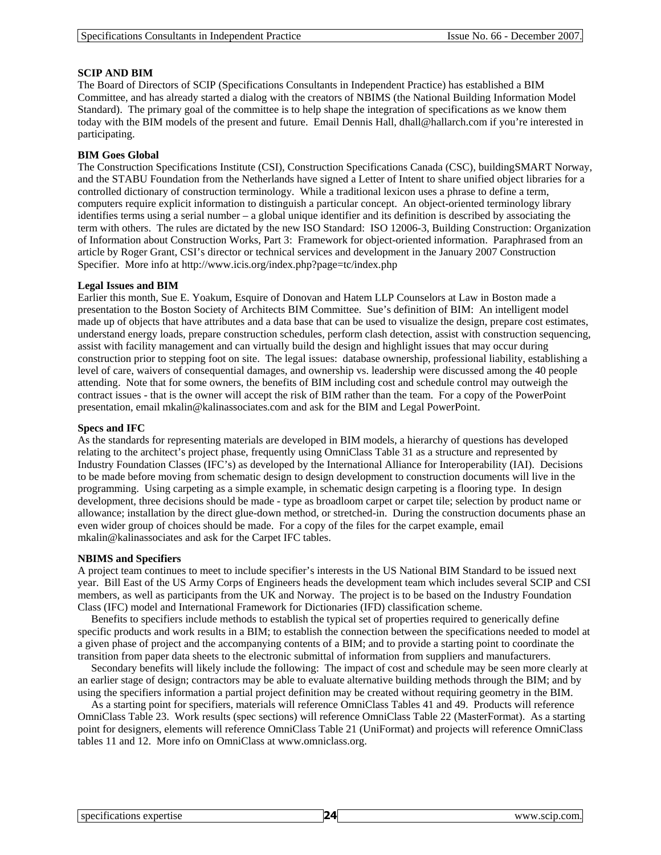# **SCIP AND BIM**

The Board of Directors of SCIP (Specifications Consultants in Independent Practice) has established a BIM Committee, and has already started a dialog with the creators of NBIMS (the National Building Information Model Standard). The primary goal of the committee is to help shape the integration of specifications as we know them today with the BIM models of the present and future. Email Dennis Hall, dhall@hallarch.com if you're interested in participating.

### **BIM Goes Global**

The Construction Specifications Institute (CSI), Construction Specifications Canada (CSC), buildingSMART Norway, and the STABU Foundation from the Netherlands have signed a Letter of Intent to share unified object libraries for a controlled dictionary of construction terminology. While a traditional lexicon uses a phrase to define a term, computers require explicit information to distinguish a particular concept. An object-oriented terminology library identifies terms using a serial number – a global unique identifier and its definition is described by associating the term with others. The rules are dictated by the new ISO Standard: ISO 12006-3, Building Construction: Organization of Information about Construction Works, Part 3: Framework for object-oriented information. Paraphrased from an article by Roger Grant, CSI's director or technical services and development in the January 2007 Construction Specifier. More info at http://www.icis.org/index.php?page=tc/index.php

### **Legal Issues and BIM**

Earlier this month, Sue E. Yoakum, Esquire of Donovan and Hatem LLP Counselors at Law in Boston made a presentation to the Boston Society of Architects BIM Committee. Sue's definition of BIM: An intelligent model made up of objects that have attributes and a data base that can be used to visualize the design, prepare cost estimates, understand energy loads, prepare construction schedules, perform clash detection, assist with construction sequencing, assist with facility management and can virtually build the design and highlight issues that may occur during construction prior to stepping foot on site. The legal issues: database ownership, professional liability, establishing a level of care, waivers of consequential damages, and ownership vs. leadership were discussed among the 40 people attending. Note that for some owners, the benefits of BIM including cost and schedule control may outweigh the contract issues - that is the owner will accept the risk of BIM rather than the team. For a copy of the PowerPoint presentation, email mkalin@kalinassociates.com and ask for the BIM and Legal PowerPoint.

#### **Specs and IFC**

As the standards for representing materials are developed in BIM models, a hierarchy of questions has developed relating to the architect's project phase, frequently using OmniClass Table 31 as a structure and represented by Industry Foundation Classes (IFC's) as developed by the International Alliance for Interoperability (IAI). Decisions to be made before moving from schematic design to design development to construction documents will live in the programming. Using carpeting as a simple example, in schematic design carpeting is a flooring type. In design development, three decisions should be made - type as broadloom carpet or carpet tile; selection by product name or allowance; installation by the direct glue-down method, or stretched-in. During the construction documents phase an even wider group of choices should be made. For a copy of the files for the carpet example, email mkalin@kalinassociates and ask for the Carpet IFC tables.

# **NBIMS and Specifiers**

A project team continues to meet to include specifier's interests in the US National BIM Standard to be issued next year. Bill East of the US Army Corps of Engineers heads the development team which includes several SCIP and CSI members, as well as participants from the UK and Norway. The project is to be based on the Industry Foundation Class (IFC) model and International Framework for Dictionaries (IFD) classification scheme.

 Benefits to specifiers include methods to establish the typical set of properties required to generically define specific products and work results in a BIM; to establish the connection between the specifications needed to model at a given phase of project and the accompanying contents of a BIM; and to provide a starting point to coordinate the transition from paper data sheets to the electronic submittal of information from suppliers and manufacturers.

 Secondary benefits will likely include the following: The impact of cost and schedule may be seen more clearly at an earlier stage of design; contractors may be able to evaluate alternative building methods through the BIM; and by using the specifiers information a partial project definition may be created without requiring geometry in the BIM.

 As a starting point for specifiers, materials will reference OmniClass Tables 41 and 49. Products will reference OmniClass Table 23. Work results (spec sections) will reference OmniClass Table 22 (MasterFormat). As a starting point for designers, elements will reference OmniClass Table 21 (UniFormat) and projects will reference OmniClass tables 11 and 12. More info on OmniClass at www.omniclass.org.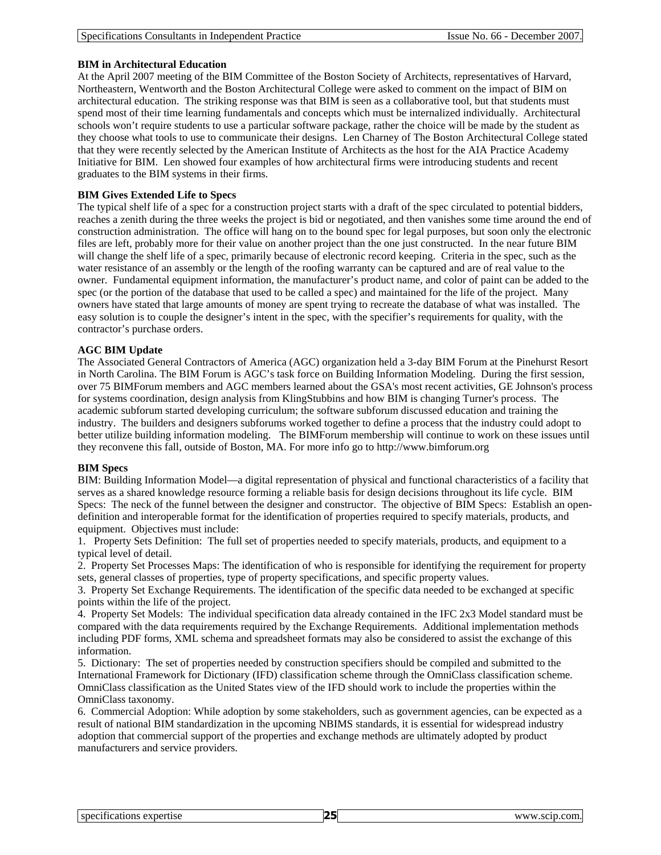# **BIM in Architectural Education**

At the April 2007 meeting of the BIM Committee of the Boston Society of Architects, representatives of Harvard, Northeastern, Wentworth and the Boston Architectural College were asked to comment on the impact of BIM on architectural education. The striking response was that BIM is seen as a collaborative tool, but that students must spend most of their time learning fundamentals and concepts which must be internalized individually. Architectural schools won't require students to use a particular software package, rather the choice will be made by the student as they choose what tools to use to communicate their designs. Len Charney of The Boston Architectural College stated that they were recently selected by the American Institute of Architects as the host for the AIA Practice Academy Initiative for BIM. Len showed four examples of how architectural firms were introducing students and recent graduates to the BIM systems in their firms.

### **BIM Gives Extended Life to Specs**

The typical shelf life of a spec for a construction project starts with a draft of the spec circulated to potential bidders, reaches a zenith during the three weeks the project is bid or negotiated, and then vanishes some time around the end of construction administration. The office will hang on to the bound spec for legal purposes, but soon only the electronic files are left, probably more for their value on another project than the one just constructed. In the near future BIM will change the shelf life of a spec, primarily because of electronic record keeping. Criteria in the spec, such as the water resistance of an assembly or the length of the roofing warranty can be captured and are of real value to the owner. Fundamental equipment information, the manufacturer's product name, and color of paint can be added to the spec (or the portion of the database that used to be called a spec) and maintained for the life of the project. Many owners have stated that large amounts of money are spent trying to recreate the database of what was installed. The easy solution is to couple the designer's intent in the spec, with the specifier's requirements for quality, with the contractor's purchase orders.

### **AGC BIM Update**

The Associated General Contractors of America (AGC) organization held a 3-day BIM Forum at the Pinehurst Resort in North Carolina. The BIM Forum is AGC's task force on Building Information Modeling. During the first session, over 75 BIMForum members and AGC members learned about the GSA's most recent activities, GE Johnson's process for systems coordination, design analysis from KlingStubbins and how BIM is changing Turner's process. The academic subforum started developing curriculum; the software subforum discussed education and training the industry. The builders and designers subforums worked together to define a process that the industry could adopt to better utilize building information modeling. The BIMForum membership will continue to work on these issues until they reconvene this fall, outside of Boston, MA. For more info go to http://www.bimforum.org

#### **BIM Specs**

BIM: Building Information Model—a digital representation of physical and functional characteristics of a facility that serves as a shared knowledge resource forming a reliable basis for design decisions throughout its life cycle. BIM Specs: The neck of the funnel between the designer and constructor. The objective of BIM Specs: Establish an opendefinition and interoperable format for the identification of properties required to specify materials, products, and equipment. Objectives must include:

1. Property Sets Definition: The full set of properties needed to specify materials, products, and equipment to a typical level of detail.

2. Property Set Processes Maps: The identification of who is responsible for identifying the requirement for property sets, general classes of properties, type of property specifications, and specific property values.

3. Property Set Exchange Requirements. The identification of the specific data needed to be exchanged at specific points within the life of the project.

4. Property Set Models: The individual specification data already contained in the IFC 2x3 Model standard must be compared with the data requirements required by the Exchange Requirements. Additional implementation methods including PDF forms, XML schema and spreadsheet formats may also be considered to assist the exchange of this information.

5. Dictionary: The set of properties needed by construction specifiers should be compiled and submitted to the International Framework for Dictionary (IFD) classification scheme through the OmniClass classification scheme. OmniClass classification as the United States view of the IFD should work to include the properties within the OmniClass taxonomy.

6. Commercial Adoption: While adoption by some stakeholders, such as government agencies, can be expected as a result of national BIM standardization in the upcoming NBIMS standards, it is essential for widespread industry adoption that commercial support of the properties and exchange methods are ultimately adopted by product manufacturers and service providers.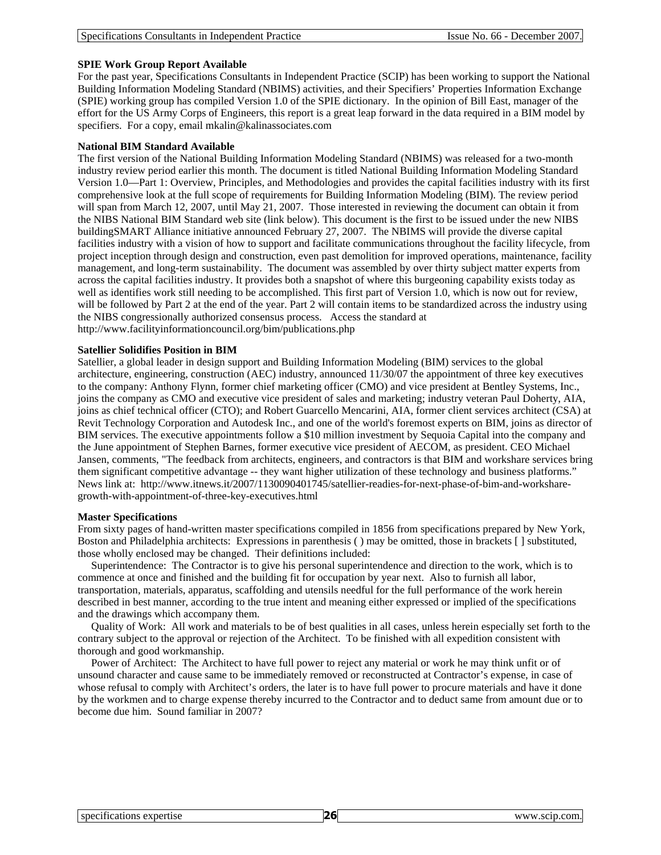#### **SPIE Work Group Report Available**

For the past year, Specifications Consultants in Independent Practice (SCIP) has been working to support the National Building Information Modeling Standard (NBIMS) activities, and their Specifiers' Properties Information Exchange (SPIE) working group has compiled Version 1.0 of the SPIE dictionary. In the opinion of Bill East, manager of the effort for the US Army Corps of Engineers, this report is a great leap forward in the data required in a BIM model by specifiers. For a copy, email mkalin@kalinassociates.com

#### **National BIM Standard Available**

The first version of the National Building Information Modeling Standard (NBIMS) was released for a two-month industry review period earlier this month. The document is titled National Building Information Modeling Standard Version 1.0—Part 1: Overview, Principles, and Methodologies and provides the capital facilities industry with its first comprehensive look at the full scope of requirements for Building Information Modeling (BIM). The review period will span from March 12, 2007, until May 21, 2007. Those interested in reviewing the document can obtain it from the NIBS National BIM Standard web site (link below). This document is the first to be issued under the new NIBS buildingSMART Alliance initiative announced February 27, 2007. The NBIMS will provide the diverse capital facilities industry with a vision of how to support and facilitate communications throughout the facility lifecycle, from project inception through design and construction, even past demolition for improved operations, maintenance, facility management, and long-term sustainability. The document was assembled by over thirty subject matter experts from across the capital facilities industry. It provides both a snapshot of where this burgeoning capability exists today as well as identifies work still needing to be accomplished. This first part of Version 1.0, which is now out for review, will be followed by Part 2 at the end of the year. Part 2 will contain items to be standardized across the industry using the NIBS congressionally authorized consensus process. Access the standard at http://www.facilityinformationcouncil.org/bim/publications.php

#### **Satellier Solidifies Position in BIM**

Satellier, a global leader in design support and Building Information Modeling (BIM) services to the global architecture, engineering, construction (AEC) industry, announced 11/30/07 the appointment of three key executives to the company: Anthony Flynn, former chief marketing officer (CMO) and vice president at Bentley Systems, Inc., joins the company as CMO and executive vice president of sales and marketing; industry veteran Paul Doherty, AIA, joins as chief technical officer (CTO); and Robert Guarcello Mencarini, AIA, former client services architect (CSA) at Revit Technology Corporation and Autodesk Inc., and one of the world's foremost experts on BIM, joins as director of BIM services. The executive appointments follow a \$10 million investment by Sequoia Capital into the company and the June appointment of Stephen Barnes, former executive vice president of AECOM, as president. CEO Michael Jansen, comments, "The feedback from architects, engineers, and contractors is that BIM and workshare services bring them significant competitive advantage -- they want higher utilization of these technology and business platforms." News link at: http://www.itnews.it/2007/1130090401745/satellier-readies-for-next-phase-of-bim-and-worksharegrowth-with-appointment-of-three-key-executives.html

## **Master Specifications**

From sixty pages of hand-written master specifications compiled in 1856 from specifications prepared by New York, Boston and Philadelphia architects: Expressions in parenthesis ( ) may be omitted, those in brackets [ ] substituted, those wholly enclosed may be changed. Their definitions included:

 Superintendence: The Contractor is to give his personal superintendence and direction to the work, which is to commence at once and finished and the building fit for occupation by year next. Also to furnish all labor, transportation, materials, apparatus, scaffolding and utensils needful for the full performance of the work herein described in best manner, according to the true intent and meaning either expressed or implied of the specifications and the drawings which accompany them.

 Quality of Work: All work and materials to be of best qualities in all cases, unless herein especially set forth to the contrary subject to the approval or rejection of the Architect. To be finished with all expedition consistent with thorough and good workmanship.

Power of Architect: The Architect to have full power to reject any material or work he may think unfit or of unsound character and cause same to be immediately removed or reconstructed at Contractor's expense, in case of whose refusal to comply with Architect's orders, the later is to have full power to procure materials and have it done by the workmen and to charge expense thereby incurred to the Contractor and to deduct same from amount due or to become due him. Sound familiar in 2007?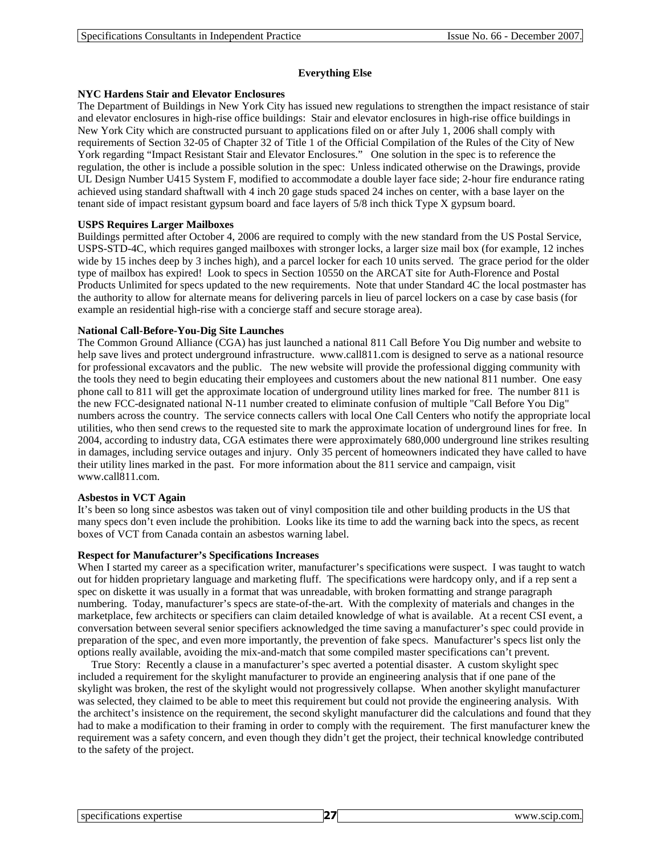# **Everything Else**

## **NYC Hardens Stair and Elevator Enclosures**

The Department of Buildings in New York City has issued new regulations to strengthen the impact resistance of stair and elevator enclosures in high-rise office buildings: Stair and elevator enclosures in high-rise office buildings in New York City which are constructed pursuant to applications filed on or after July 1, 2006 shall comply with requirements of Section 32-05 of Chapter 32 of Title 1 of the Official Compilation of the Rules of the City of New York regarding "Impact Resistant Stair and Elevator Enclosures." One solution in the spec is to reference the regulation, the other is include a possible solution in the spec: Unless indicated otherwise on the Drawings, provide UL Design Number U415 System F, modified to accommodate a double layer face side; 2-hour fire endurance rating achieved using standard shaftwall with 4 inch 20 gage studs spaced 24 inches on center, with a base layer on the tenant side of impact resistant gypsum board and face layers of 5/8 inch thick Type X gypsum board.

### **USPS Requires Larger Mailboxes**

Buildings permitted after October 4, 2006 are required to comply with the new standard from the US Postal Service, USPS-STD-4C, which requires ganged mailboxes with stronger locks, a larger size mail box (for example, 12 inches wide by 15 inches deep by 3 inches high), and a parcel locker for each 10 units served. The grace period for the older type of mailbox has expired! Look to specs in Section 10550 on the ARCAT site for Auth-Florence and Postal Products Unlimited for specs updated to the new requirements. Note that under Standard 4C the local postmaster has the authority to allow for alternate means for delivering parcels in lieu of parcel lockers on a case by case basis (for example an residential high-rise with a concierge staff and secure storage area).

### **National Call-Before-You-Dig Site Launches**

The Common Ground Alliance (CGA) has just launched a national 811 Call Before You Dig number and website to help save lives and protect underground infrastructure. www.call811.com is designed to serve as a national resource for professional excavators and the public. The new website will provide the professional digging community with the tools they need to begin educating their employees and customers about the new national 811 number. One easy phone call to 811 will get the approximate location of underground utility lines marked for free. The number 811 is the new FCC-designated national N-11 number created to eliminate confusion of multiple "Call Before You Dig" numbers across the country. The service connects callers with local One Call Centers who notify the appropriate local utilities, who then send crews to the requested site to mark the approximate location of underground lines for free. In 2004, according to industry data, CGA estimates there were approximately 680,000 underground line strikes resulting in damages, including service outages and injury. Only 35 percent of homeowners indicated they have called to have their utility lines marked in the past. For more information about the 811 service and campaign, visit www.call811.com.

#### **Asbestos in VCT Again**

It's been so long since asbestos was taken out of vinyl composition tile and other building products in the US that many specs don't even include the prohibition. Looks like its time to add the warning back into the specs, as recent boxes of VCT from Canada contain an asbestos warning label.

#### **Respect for Manufacturer's Specifications Increases**

When I started my career as a specification writer, manufacturer's specifications were suspect. I was taught to watch out for hidden proprietary language and marketing fluff. The specifications were hardcopy only, and if a rep sent a spec on diskette it was usually in a format that was unreadable, with broken formatting and strange paragraph numbering. Today, manufacturer's specs are state-of-the-art. With the complexity of materials and changes in the marketplace, few architects or specifiers can claim detailed knowledge of what is available. At a recent CSI event, a conversation between several senior specifiers acknowledged the time saving a manufacturer's spec could provide in preparation of the spec, and even more importantly, the prevention of fake specs. Manufacturer's specs list only the options really available, avoiding the mix-and-match that some compiled master specifications can't prevent.

 True Story: Recently a clause in a manufacturer's spec averted a potential disaster. A custom skylight spec included a requirement for the skylight manufacturer to provide an engineering analysis that if one pane of the skylight was broken, the rest of the skylight would not progressively collapse. When another skylight manufacturer was selected, they claimed to be able to meet this requirement but could not provide the engineering analysis. With the architect's insistence on the requirement, the second skylight manufacturer did the calculations and found that they had to make a modification to their framing in order to comply with the requirement. The first manufacturer knew the requirement was a safety concern, and even though they didn't get the project, their technical knowledge contributed to the safety of the project.